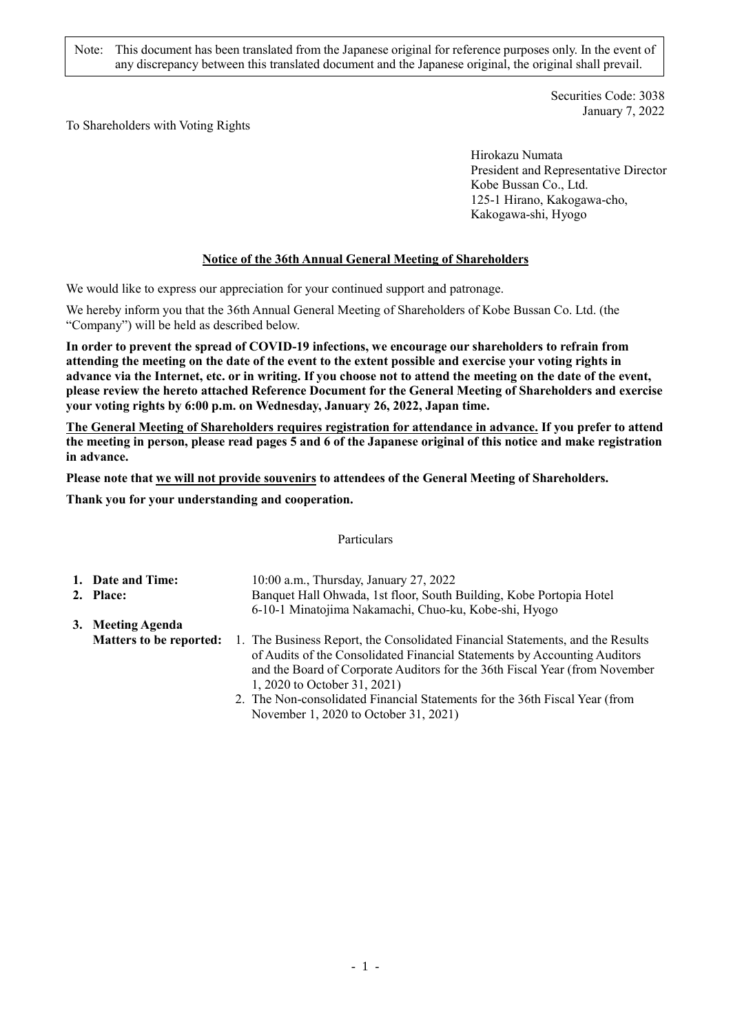Note: This document has been translated from the Japanese original for reference purposes only. In the event of any discrepancy between this translated document and the Japanese original, the original shall prevail.

> Securities Code: 3038 January 7, 2022

To Shareholders with Voting Rights

Hirokazu Numata President and Representative Director Kobe Bussan Co., Ltd. 125-1 Hirano, Kakogawa-cho, Kakogawa-shi, Hyogo

# **Notice of the 36th Annual General Meeting of Shareholders**

We would like to express our appreciation for your continued support and patronage.

We hereby inform you that the 36th Annual General Meeting of Shareholders of Kobe Bussan Co. Ltd. (the "Company") will be held as described below.

**In order to prevent the spread of COVID-19 infections, we encourage our shareholders to refrain from attending the meeting on the date of the event to the extent possible and exercise your voting rights in advance via the Internet, etc. or in writing. If you choose not to attend the meeting on the date of the event, please review the hereto attached Reference Document for the General Meeting of Shareholders and exercise your voting rights by 6:00 p.m. on Wednesday, January 26, 2022, Japan time.**

**The General Meeting of Shareholders requires registration for attendance in advance. If you prefer to attend the meeting in person, please read pages 5 and 6 of the Japanese original of this notice and make registration in advance.**

**Please note that we will not provide souvenirs to attendees of the General Meeting of Shareholders.**

**Thank you for your understanding and cooperation.**

#### Particulars

| 1. Date and Time:              | 10:00 a.m., Thursday, January 27, 2022                                                                                                                                                                                                                                     |
|--------------------------------|----------------------------------------------------------------------------------------------------------------------------------------------------------------------------------------------------------------------------------------------------------------------------|
| 2. Place:                      | Banquet Hall Ohwada, 1st floor, South Building, Kobe Portopia Hotel                                                                                                                                                                                                        |
|                                | 6-10-1 Minatojima Nakamachi, Chuo-ku, Kobe-shi, Hyogo                                                                                                                                                                                                                      |
| 3. Meeting Agenda              |                                                                                                                                                                                                                                                                            |
| <b>Matters to be reported:</b> | 1. The Business Report, the Consolidated Financial Statements, and the Results<br>of Audits of the Consolidated Financial Statements by Accounting Auditors<br>and the Board of Corporate Auditors for the 36th Fiscal Year (from November<br>1, 2020 to October 31, 2021) |
|                                | 2. The Non-consolidated Financial Statements for the 26th Fiscal Vear (from                                                                                                                                                                                                |

The Non-consolidated Financial Statements for the 36th Fiscal Year (from November 1, 2020 to October 31, 2021)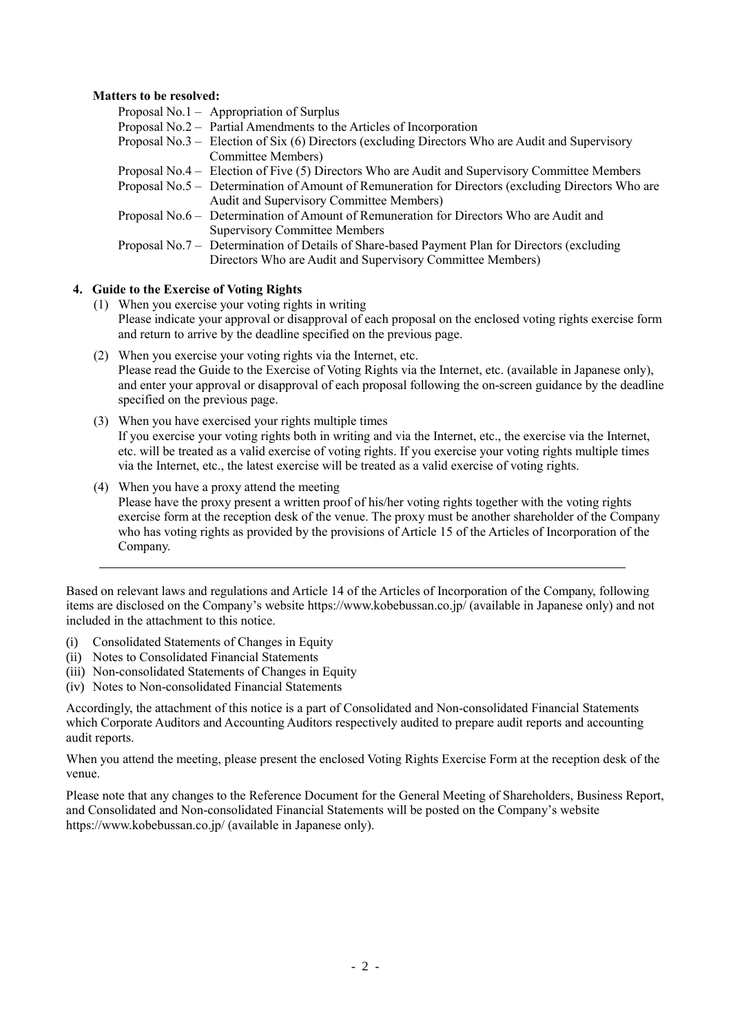#### **Matters to be resolved:**

| Proposal No.1 – Appropriation of Surplus                                                           |
|----------------------------------------------------------------------------------------------------|
| Proposal No.2 – Partial Amendments to the Articles of Incorporation                                |
| Proposal No.3 – Election of Six $(6)$ Directors (excluding Directors Who are Audit and Supervisory |
| Committee Members)                                                                                 |
| Proposal No.4 – Election of Five (5) Directors Who are Audit and Supervisory Committee Members     |
| Proposal No.5 – Determination of Amount of Remuneration for Directors (excluding Directors Who are |
| Audit and Supervisory Committee Members)                                                           |
| Proposal No.6 – Determination of Amount of Remuneration for Directors Who are Audit and            |
| <b>Supervisory Committee Members</b>                                                               |
| Proposal No.7 – Determination of Details of Share-based Payment Plan for Directors (excluding      |
| Directors Who are Audit and Supervisory Committee Members)                                         |
|                                                                                                    |

#### **4. Guide to the Exercise of Voting Rights**

- (1) When you exercise your voting rights in writing Please indicate your approval or disapproval of each proposal on the enclosed voting rights exercise form and return to arrive by the deadline specified on the previous page.
- (2) When you exercise your voting rights via the Internet, etc. Please read the Guide to the Exercise of Voting Rights via the Internet, etc. (available in Japanese only), and enter your approval or disapproval of each proposal following the on-screen guidance by the deadline specified on the previous page.
- (3) When you have exercised your rights multiple times If you exercise your voting rights both in writing and via the Internet, etc., the exercise via the Internet, etc. will be treated as a valid exercise of voting rights. If you exercise your voting rights multiple times via the Internet, etc., the latest exercise will be treated as a valid exercise of voting rights.
- (4) When you have a proxy attend the meeting Please have the proxy present a written proof of his/her voting rights together with the voting rights exercise form at the reception desk of the venue. The proxy must be another shareholder of the Company who has voting rights as provided by the provisions of Article 15 of the Articles of Incorporation of the Company.

Based on relevant laws and regulations and Article 14 of the Articles of Incorporation of the Company, following items are disclosed on the Company's website https://www.kobebussan.co.jp/ (available in Japanese only) and not included in the attachment to this notice.

- (i) Consolidated Statements of Changes in Equity
- (ii) Notes to Consolidated Financial Statements
- (iii) Non-consolidated Statements of Changes in Equity
- (iv) Notes to Non-consolidated Financial Statements

Accordingly, the attachment of this notice is a part of Consolidated and Non-consolidated Financial Statements which Corporate Auditors and Accounting Auditors respectively audited to prepare audit reports and accounting audit reports.

When you attend the meeting, please present the enclosed Voting Rights Exercise Form at the reception desk of the venue.

Please note that any changes to the Reference Document for the General Meeting of Shareholders, Business Report, and Consolidated and Non-consolidated Financial Statements will be posted on the Company's website https://www.kobebussan.co.jp/ (available in Japanese only).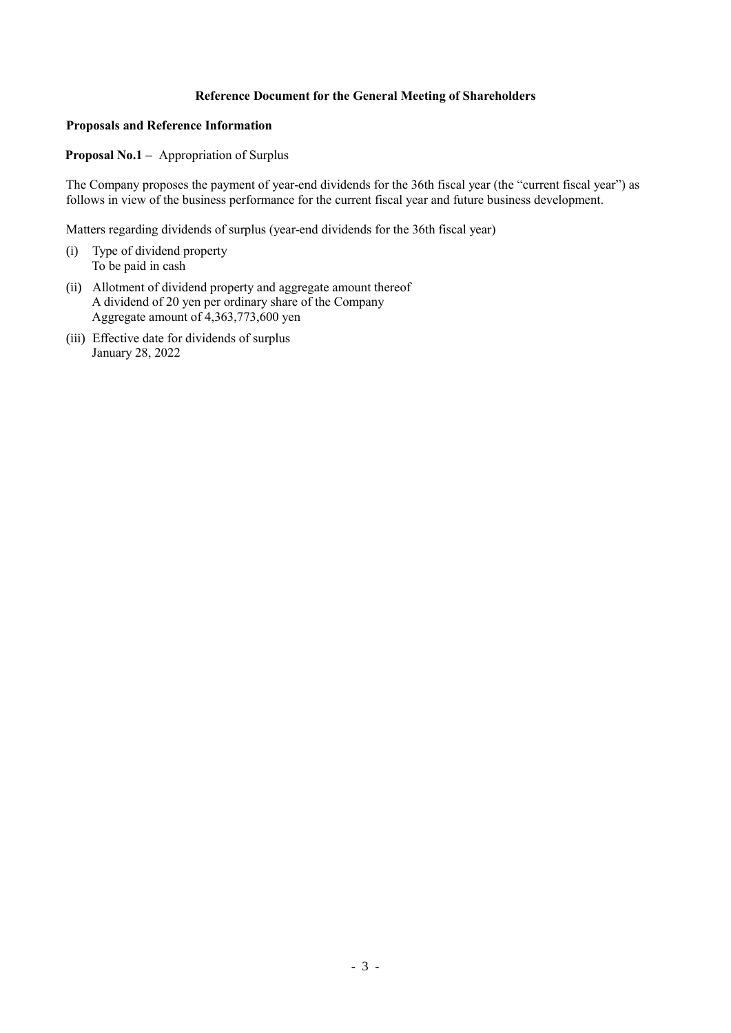# **Reference Document for the General Meeting of Shareholders**

### **Proposals and Reference Information**

#### **Proposal No.1 –** Appropriation of Surplus

The Company proposes the payment of year-end dividends for the 36th fiscal year (the "current fiscal year") as follows in view of the business performance for the current fiscal year and future business development.

Matters regarding dividends of surplus (year-end dividends for the 36th fiscal year)

- (i) Type of dividend property To be paid in cash
- (ii) Allotment of dividend property and aggregate amount thereof A dividend of 20 yen per ordinary share of the Company Aggregate amount of 4,363,773,600 yen
- (iii) Effective date for dividends of surplus January 28, 2022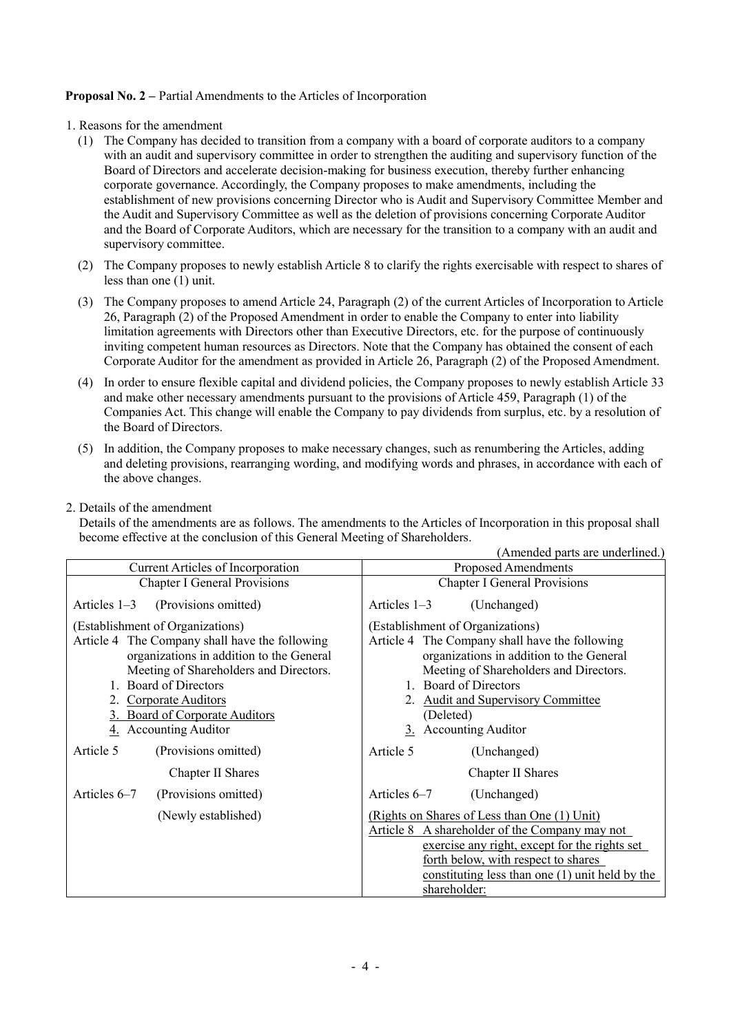# **Proposal No. 2 –** Partial Amendments to the Articles of Incorporation

- 1. Reasons for the amendment
	- (1) The Company has decided to transition from a company with a board of corporate auditors to a company with an audit and supervisory committee in order to strengthen the auditing and supervisory function of the Board of Directors and accelerate decision-making for business execution, thereby further enhancing corporate governance. Accordingly, the Company proposes to make amendments, including the establishment of new provisions concerning Director who is Audit and Supervisory Committee Member and the Audit and Supervisory Committee as well as the deletion of provisions concerning Corporate Auditor and the Board of Corporate Auditors, which are necessary for the transition to a company with an audit and supervisory committee.
	- (2) The Company proposes to newly establish Article 8 to clarify the rights exercisable with respect to shares of less than one (1) unit.
	- (3) The Company proposes to amend Article 24, Paragraph (2) of the current Articles of Incorporation to Article 26, Paragraph (2) of the Proposed Amendment in order to enable the Company to enter into liability limitation agreements with Directors other than Executive Directors, etc. for the purpose of continuously inviting competent human resources as Directors. Note that the Company has obtained the consent of each Corporate Auditor for the amendment as provided in Article 26, Paragraph (2) of the Proposed Amendment.
	- (4) In order to ensure flexible capital and dividend policies, the Company proposes to newly establish Article 33 and make other necessary amendments pursuant to the provisions of Article 459, Paragraph (1) of the Companies Act. This change will enable the Company to pay dividends from surplus, etc. by a resolution of the Board of Directors.
	- (5) In addition, the Company proposes to make necessary changes, such as renumbering the Articles, adding and deleting provisions, rearranging wording, and modifying words and phrases, in accordance with each of the above changes.
- 2. Details of the amendment

Details of the amendments are as follows. The amendments to the Articles of Incorporation in this proposal shall become effective at the conclusion of this General Meeting of Shareholders. (Amended parts are underlined.)

|                                                                                                                                                                                                                                                                                       | (Alliended parts are underlined.                                                                                                                                                                                                                                                            |  |
|---------------------------------------------------------------------------------------------------------------------------------------------------------------------------------------------------------------------------------------------------------------------------------------|---------------------------------------------------------------------------------------------------------------------------------------------------------------------------------------------------------------------------------------------------------------------------------------------|--|
| Current Articles of Incorporation                                                                                                                                                                                                                                                     | <b>Proposed Amendments</b>                                                                                                                                                                                                                                                                  |  |
| <b>Chapter I General Provisions</b>                                                                                                                                                                                                                                                   | <b>Chapter I General Provisions</b>                                                                                                                                                                                                                                                         |  |
| (Provisions omitted)<br>Articles $1-3$                                                                                                                                                                                                                                                | Articles 1-3<br>(Unchanged)                                                                                                                                                                                                                                                                 |  |
| (Establishment of Organizations)<br>Article 4 The Company shall have the following<br>organizations in addition to the General<br>Meeting of Shareholders and Directors.<br>1. Board of Directors<br>2. Corporate Auditors<br>3. Board of Corporate Auditors<br>4. Accounting Auditor | (Establishment of Organizations)<br>Article 4 The Company shall have the following<br>organizations in addition to the General<br>Meeting of Shareholders and Directors.<br>1. Board of Directors<br><b>Audit and Supervisory Committee</b><br>(Deleted)<br><b>Accounting Auditor</b><br>3. |  |
| Article 5<br>(Provisions omitted)                                                                                                                                                                                                                                                     | Article 5<br>(Unchanged)                                                                                                                                                                                                                                                                    |  |
| Chapter II Shares                                                                                                                                                                                                                                                                     | Chapter II Shares                                                                                                                                                                                                                                                                           |  |
| (Provisions omitted)<br>Articles 6–7                                                                                                                                                                                                                                                  | Articles 6–7<br>(Unchanged)                                                                                                                                                                                                                                                                 |  |
| (Newly established)                                                                                                                                                                                                                                                                   | (Rights on Shares of Less than One (1) Unit)<br>Article 8 A shareholder of the Company may not<br>exercise any right, except for the rights set<br>forth below, with respect to shares<br>constituting less than one $(1)$ unit held by the<br>shareholder:                                 |  |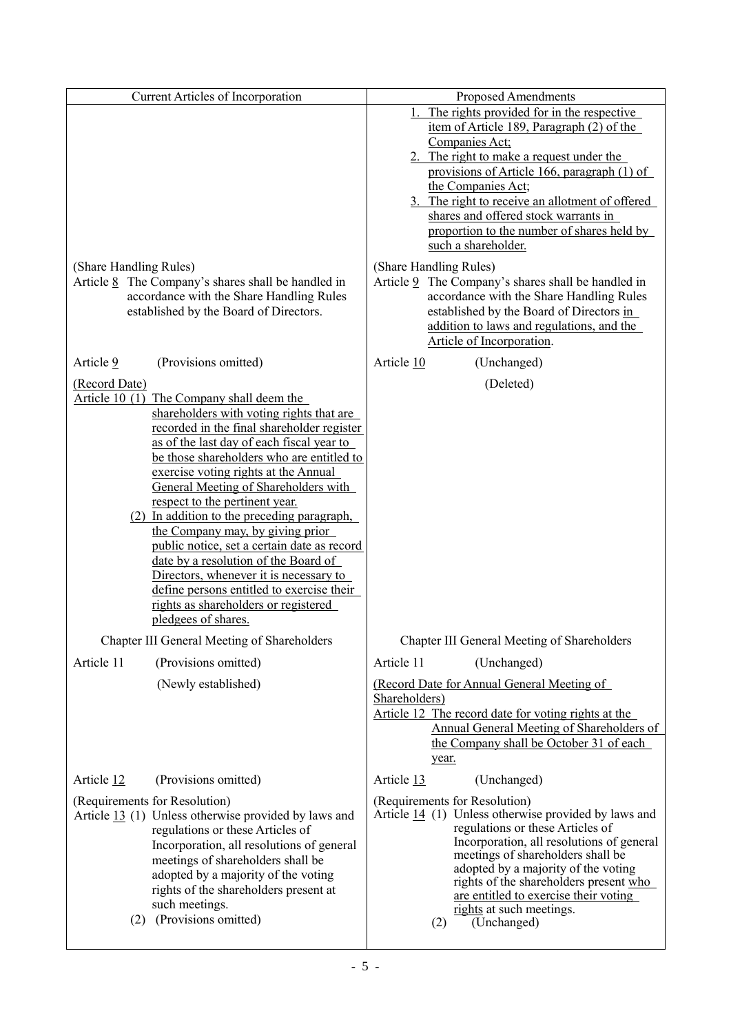|                               | Current Articles of Incorporation                                                                |                        | <b>Proposed Amendments</b>                                                                     |
|-------------------------------|--------------------------------------------------------------------------------------------------|------------------------|------------------------------------------------------------------------------------------------|
|                               |                                                                                                  |                        | 1. The rights provided for in the respective                                                   |
|                               |                                                                                                  |                        | item of Article 189, Paragraph $(2)$ of the<br>Companies Act;                                  |
|                               |                                                                                                  |                        | 2. The right to make a request under the                                                       |
|                               |                                                                                                  |                        | provisions of Article 166, paragraph (1) of                                                    |
|                               |                                                                                                  |                        | the Companies Act;<br>3. The right to receive an allotment of offered                          |
|                               |                                                                                                  |                        | shares and offered stock warrants in                                                           |
|                               |                                                                                                  |                        | proportion to the number of shares held by                                                     |
|                               |                                                                                                  |                        | such a shareholder.                                                                            |
| (Share Handling Rules)        |                                                                                                  | (Share Handling Rules) |                                                                                                |
|                               | Article $8$ The Company's shares shall be handled in<br>accordance with the Share Handling Rules |                        | Article 9 The Company's shares shall be handled in<br>accordance with the Share Handling Rules |
|                               | established by the Board of Directors.                                                           |                        | established by the Board of Directors in                                                       |
|                               |                                                                                                  |                        | addition to laws and regulations, and the                                                      |
|                               |                                                                                                  |                        | Article of Incorporation.                                                                      |
| Article 9                     | (Provisions omitted)                                                                             | Article 10             | (Unchanged)                                                                                    |
| (Record Date)                 |                                                                                                  |                        | (Deleted)                                                                                      |
|                               | Article 10 (1) The Company shall deem the<br>shareholders with voting rights that are            |                        |                                                                                                |
|                               | recorded in the final shareholder register                                                       |                        |                                                                                                |
|                               | as of the last day of each fiscal year to                                                        |                        |                                                                                                |
|                               | be those shareholders who are entitled to<br>exercise voting rights at the Annual                |                        |                                                                                                |
|                               | General Meeting of Shareholders with                                                             |                        |                                                                                                |
|                               | respect to the pertinent year.                                                                   |                        |                                                                                                |
|                               | (2) In addition to the preceding paragraph,<br>the Company may, by giving prior                  |                        |                                                                                                |
|                               | public notice, set a certain date as record                                                      |                        |                                                                                                |
|                               | date by a resolution of the Board of                                                             |                        |                                                                                                |
|                               | Directors, whenever it is necessary to<br>define persons entitled to exercise their              |                        |                                                                                                |
|                               | rights as shareholders or registered                                                             |                        |                                                                                                |
|                               | pledgees of shares.                                                                              |                        |                                                                                                |
|                               | Chapter III General Meeting of Shareholders                                                      |                        | Chapter III General Meeting of Shareholders                                                    |
| Article 11                    | (Provisions omitted)                                                                             | Article 11             | (Unchanged)                                                                                    |
|                               | (Newly established)                                                                              |                        | (Record Date for Annual General Meeting of                                                     |
|                               |                                                                                                  | Shareholders)          | Article 12 The record date for voting rights at the                                            |
|                               |                                                                                                  |                        | Annual General Meeting of Shareholders of                                                      |
|                               |                                                                                                  |                        | the Company shall be October 31 of each                                                        |
|                               |                                                                                                  | year.                  |                                                                                                |
| Article 12                    | (Provisions omitted)                                                                             | Article 13             | (Unchanged)                                                                                    |
| (Requirements for Resolution) |                                                                                                  |                        | (Requirements for Resolution)                                                                  |
|                               | Article 13 (1) Unless otherwise provided by laws and<br>regulations or these Articles of         |                        | Article $14$ (1) Unless otherwise provided by laws and<br>regulations or these Articles of     |
|                               | Incorporation, all resolutions of general                                                        |                        | Incorporation, all resolutions of general                                                      |
|                               | meetings of shareholders shall be                                                                |                        | meetings of shareholders shall be<br>adopted by a majority of the voting                       |
|                               | adopted by a majority of the voting<br>rights of the shareholders present at                     |                        | rights of the shareholders present who                                                         |
|                               | such meetings.                                                                                   |                        | are entitled to exercise their voting<br>rights at such meetings.                              |
| (2)                           | (Provisions omitted)                                                                             | (2)                    | (Unchanged)                                                                                    |
|                               |                                                                                                  |                        |                                                                                                |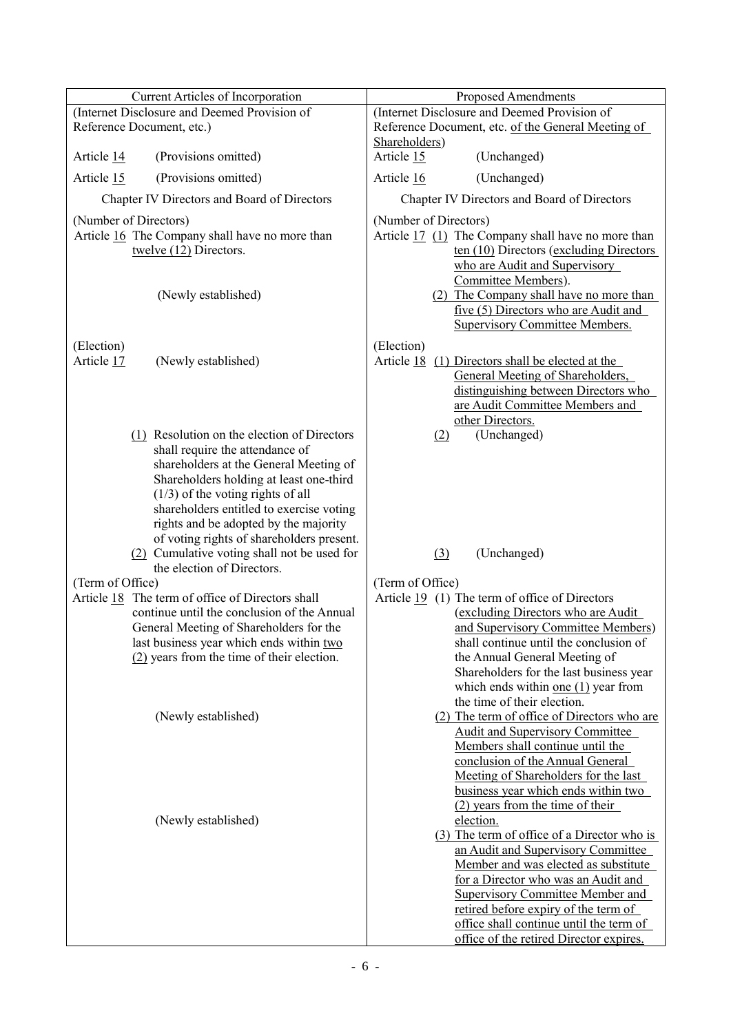| Current Articles of Incorporation                                                                                                                                                                                                                                                                 | Proposed Amendments                                                                                                                                                                                                                                                                                                                                    |  |  |
|---------------------------------------------------------------------------------------------------------------------------------------------------------------------------------------------------------------------------------------------------------------------------------------------------|--------------------------------------------------------------------------------------------------------------------------------------------------------------------------------------------------------------------------------------------------------------------------------------------------------------------------------------------------------|--|--|
| (Internet Disclosure and Deemed Provision of<br>Reference Document, etc.)                                                                                                                                                                                                                         | (Internet Disclosure and Deemed Provision of<br>Reference Document, etc. of the General Meeting of                                                                                                                                                                                                                                                     |  |  |
| (Provisions omitted)<br>Article 14                                                                                                                                                                                                                                                                | Shareholders)<br>Article 15<br>(Unchanged)                                                                                                                                                                                                                                                                                                             |  |  |
| Article 15<br>(Provisions omitted)                                                                                                                                                                                                                                                                | Article 16<br>(Unchanged)                                                                                                                                                                                                                                                                                                                              |  |  |
| Chapter IV Directors and Board of Directors                                                                                                                                                                                                                                                       | Chapter IV Directors and Board of Directors                                                                                                                                                                                                                                                                                                            |  |  |
| (Number of Directors)<br>Article 16 The Company shall have no more than<br>twelve (12) Directors.                                                                                                                                                                                                 | (Number of Directors)<br>Article 17 (1) The Company shall have no more than<br>ten $(10)$ Directors (excluding Directors)<br>who are Audit and Supervisory                                                                                                                                                                                             |  |  |
| (Newly established)                                                                                                                                                                                                                                                                               | Committee Members).<br>(2) The Company shall have no more than<br>five (5) Directors who are Audit and<br><b>Supervisory Committee Members.</b>                                                                                                                                                                                                        |  |  |
| (Election)<br>Article 17<br>(Newly established)                                                                                                                                                                                                                                                   | (Election)<br>Article 18 (1) Directors shall be elected at the<br>General Meeting of Shareholders,<br>distinguishing between Directors who<br>are Audit Committee Members and                                                                                                                                                                          |  |  |
| $(1)$ Resolution on the election of Directors<br>shall require the attendance of<br>shareholders at the General Meeting of<br>Shareholders holding at least one-third<br>$(1/3)$ of the voting rights of all<br>shareholders entitled to exercise voting<br>rights and be adopted by the majority | other Directors.<br>(Unchanged)<br>(2)                                                                                                                                                                                                                                                                                                                 |  |  |
| of voting rights of shareholders present.<br>(2) Cumulative voting shall not be used for<br>the election of Directors.                                                                                                                                                                            | (3)<br>(Unchanged)                                                                                                                                                                                                                                                                                                                                     |  |  |
| (Term of Office)                                                                                                                                                                                                                                                                                  | (Term of Office)                                                                                                                                                                                                                                                                                                                                       |  |  |
| Article 18 The term of office of Directors shall<br>continue until the conclusion of the Annual<br>General Meeting of Shareholders for the<br>last business year which ends within two<br>$(2)$ years from the time of their election.                                                            | Article 19 (1) The term of office of Directors<br>(excluding Directors who are Audit<br>and Supervisory Committee Members)<br>shall continue until the conclusion of<br>the Annual General Meeting of<br>Shareholders for the last business year<br>which ends within <u>one <math>(1)</math></u> year from<br>the time of their election.             |  |  |
| (Newly established)                                                                                                                                                                                                                                                                               | (2) The term of office of Directors who are<br><b>Audit and Supervisory Committee</b><br>Members shall continue until the<br>conclusion of the Annual General<br>Meeting of Shareholders for the last<br>business year which ends within two<br>(2) years from the time of their                                                                       |  |  |
| (Newly established)                                                                                                                                                                                                                                                                               | election.<br>(3) The term of office of a Director who is<br>an Audit and Supervisory Committee<br>Member and was elected as substitute<br>for a Director who was an Audit and<br><b>Supervisory Committee Member and</b><br>retired before expiry of the term of<br>office shall continue until the term of<br>office of the retired Director expires. |  |  |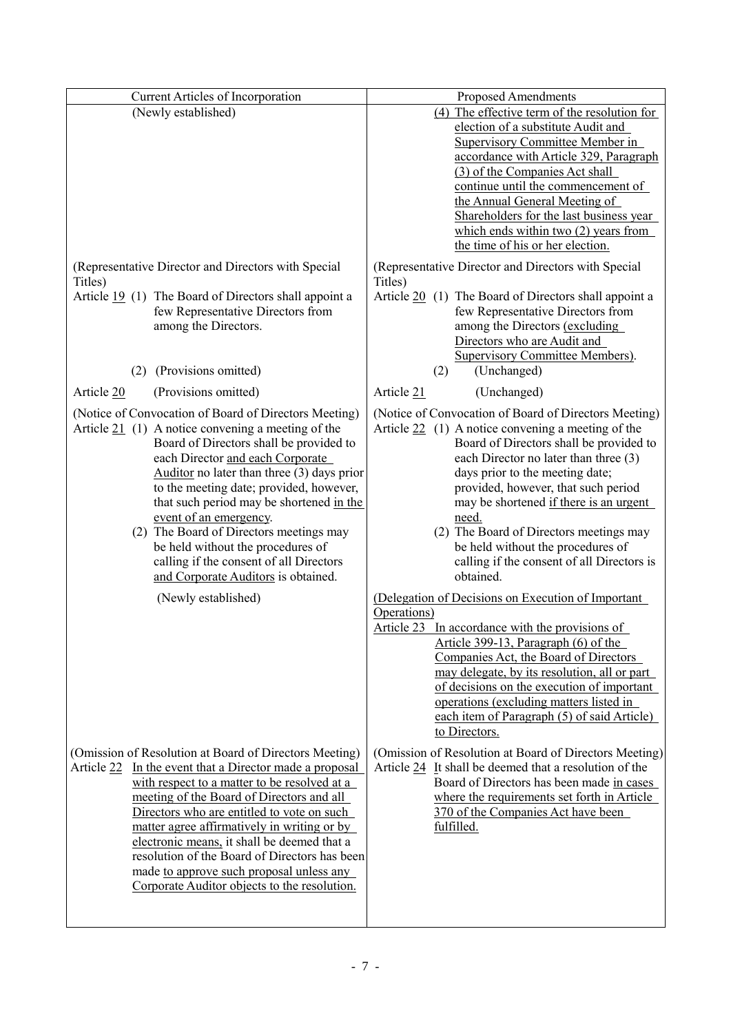| Current Articles of Incorporation                                                                             | Proposed Amendments                                                                                           |
|---------------------------------------------------------------------------------------------------------------|---------------------------------------------------------------------------------------------------------------|
| (Newly established)                                                                                           | (4) The effective term of the resolution for                                                                  |
|                                                                                                               | election of a substitute Audit and                                                                            |
|                                                                                                               | <b>Supervisory Committee Member in</b>                                                                        |
|                                                                                                               | accordance with Article 329, Paragraph                                                                        |
|                                                                                                               | (3) of the Companies Act shall<br>continue until the commencement of                                          |
|                                                                                                               | the Annual General Meeting of                                                                                 |
|                                                                                                               | Shareholders for the last business year                                                                       |
|                                                                                                               | which ends within two $(2)$ years from                                                                        |
|                                                                                                               | the time of his or her election.                                                                              |
| (Representative Director and Directors with Special<br>Titles)                                                | (Representative Director and Directors with Special<br>Titles)                                                |
| Article 19 (1) The Board of Directors shall appoint a                                                         | Article 20 (1) The Board of Directors shall appoint a                                                         |
| few Representative Directors from                                                                             | few Representative Directors from                                                                             |
| among the Directors.                                                                                          | among the Directors (excluding                                                                                |
|                                                                                                               | Directors who are Audit and                                                                                   |
| (Provisions omitted)<br>(2)                                                                                   | <b>Supervisory Committee Members).</b><br>(Unchanged)<br>(2)                                                  |
| (Provisions omitted)<br>Article 20                                                                            | (Unchanged)<br>Article 21                                                                                     |
|                                                                                                               |                                                                                                               |
| (Notice of Convocation of Board of Directors Meeting)<br>Article $21$ (1) A notice convening a meeting of the | (Notice of Convocation of Board of Directors Meeting)<br>Article $22$ (1) A notice convening a meeting of the |
| Board of Directors shall be provided to                                                                       | Board of Directors shall be provided to                                                                       |
| each Director and each Corporate                                                                              | each Director no later than three (3)                                                                         |
| Auditor no later than three $(3)$ days prior                                                                  | days prior to the meeting date;                                                                               |
| to the meeting date; provided, however,                                                                       | provided, however, that such period                                                                           |
| that such period may be shortened in the                                                                      | may be shortened if there is an urgent                                                                        |
| event of an emergency.<br>(2) The Board of Directors meetings may                                             | need.                                                                                                         |
| be held without the procedures of                                                                             | (2) The Board of Directors meetings may<br>be held without the procedures of                                  |
| calling if the consent of all Directors                                                                       | calling if the consent of all Directors is                                                                    |
| and Corporate Auditors is obtained.                                                                           | obtained.                                                                                                     |
| (Newly established)                                                                                           | (Delegation of Decisions on Execution of Important                                                            |
|                                                                                                               | Operations)                                                                                                   |
|                                                                                                               | Article 23 In accordance with the provisions of                                                               |
|                                                                                                               | Article 399-13, Paragraph (6) of the                                                                          |
|                                                                                                               | Companies Act, the Board of Directors<br>may delegate, by its resolution, all or part                         |
|                                                                                                               | of decisions on the execution of important                                                                    |
|                                                                                                               | operations (excluding matters listed in                                                                       |
|                                                                                                               | each item of Paragraph (5) of said Article)                                                                   |
|                                                                                                               | to Directors.                                                                                                 |
| (Omission of Resolution at Board of Directors Meeting)                                                        | (Omission of Resolution at Board of Directors Meeting)                                                        |
| Article 22 In the event that a Director made a proposal                                                       | Article $24$ It shall be deemed that a resolution of the                                                      |
| with respect to a matter to be resolved at a                                                                  | Board of Directors has been made in cases                                                                     |
| meeting of the Board of Directors and all                                                                     | where the requirements set forth in Article                                                                   |
| Directors who are entitled to vote on such                                                                    | 370 of the Companies Act have been                                                                            |
| matter agree affirmatively in writing or by<br>electronic means, it shall be deemed that a                    | fulfilled.                                                                                                    |
| resolution of the Board of Directors has been                                                                 |                                                                                                               |
| made to approve such proposal unless any                                                                      |                                                                                                               |
| Corporate Auditor objects to the resolution.                                                                  |                                                                                                               |
|                                                                                                               |                                                                                                               |
|                                                                                                               |                                                                                                               |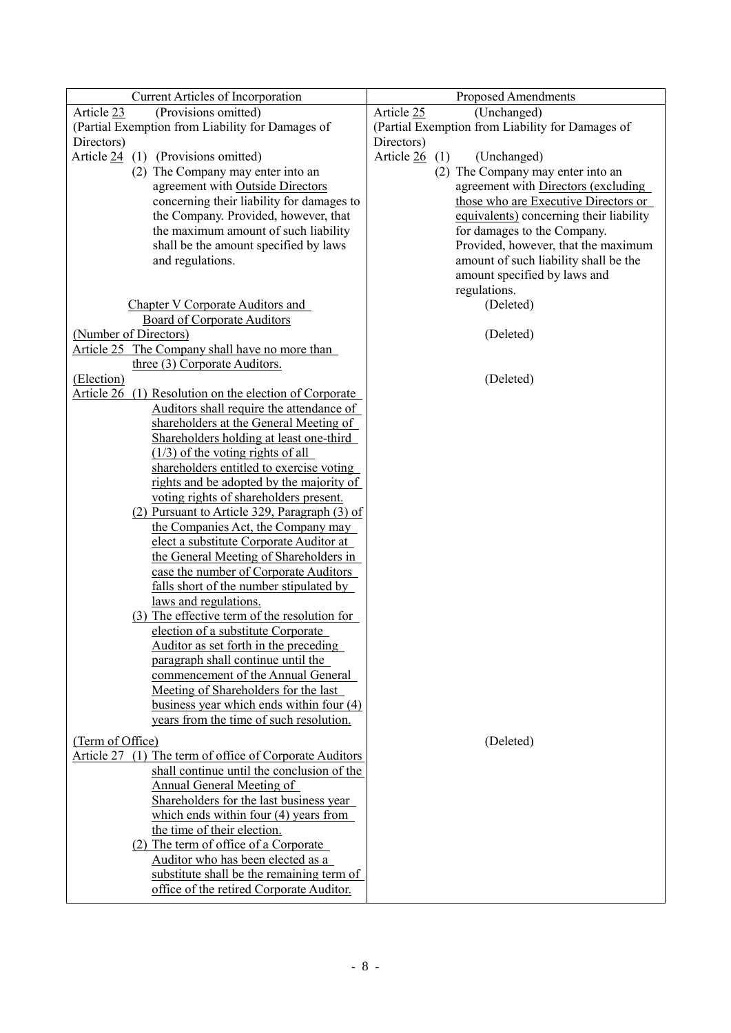| <b>Current Articles of Incorporation</b>                  | Proposed Amendments                              |
|-----------------------------------------------------------|--------------------------------------------------|
| Article 23<br>(Provisions omitted)                        | Article 25<br>(Unchanged)                        |
| (Partial Exemption from Liability for Damages of          | (Partial Exemption from Liability for Damages of |
| Directors)                                                | Directors)                                       |
| Article $24$ (1) (Provisions omitted)                     | Article 26<br>(1)<br>(Unchanged)                 |
| (2) The Company may enter into an                         | (2) The Company may enter into an                |
| agreement with Outside Directors                          | agreement with Directors (excluding              |
| concerning their liability for damages to                 | those who are Executive Directors or             |
| the Company. Provided, however, that                      | equivalents) concerning their liability          |
| the maximum amount of such liability                      | for damages to the Company.                      |
| shall be the amount specified by laws                     | Provided, however, that the maximum              |
| and regulations.                                          | amount of such liability shall be the            |
|                                                           | amount specified by laws and                     |
|                                                           |                                                  |
|                                                           | regulations.                                     |
| Chapter V Corporate Auditors and                          | (Deleted)                                        |
| <b>Board of Corporate Auditors</b>                        |                                                  |
| (Number of Directors)                                     | (Deleted)                                        |
| Article 25 The Company shall have no more than            |                                                  |
| three (3) Corporate Auditors.                             |                                                  |
| (Election)                                                | (Deleted)                                        |
| Article 26<br>(1) Resolution on the election of Corporate |                                                  |
| Auditors shall require the attendance of                  |                                                  |
| shareholders at the General Meeting of                    |                                                  |
| Shareholders holding at least one-third                   |                                                  |
| $(1/3)$ of the voting rights of all                       |                                                  |
| shareholders entitled to exercise voting                  |                                                  |
| rights and be adopted by the majority of                  |                                                  |
| voting rights of shareholders present.                    |                                                  |
| (2) Pursuant to Article 329, Paragraph (3) of             |                                                  |
| the Companies Act, the Company may                        |                                                  |
| elect a substitute Corporate Auditor at                   |                                                  |
| the General Meeting of Shareholders in                    |                                                  |
| case the number of Corporate Auditors                     |                                                  |
| falls short of the number stipulated by                   |                                                  |
| laws and regulations.                                     |                                                  |
| (3) The effective term of the resolution for              |                                                  |
| election of a substitute Corporate                        |                                                  |
| Auditor as set forth in the preceding                     |                                                  |
| paragraph shall continue until the                        |                                                  |
| commencement of the Annual General                        |                                                  |
| Meeting of Shareholders for the last                      |                                                  |
| business year which ends within four $(4)$                |                                                  |
| years from the time of such resolution.                   |                                                  |
| (Term of Office)                                          | (Deleted)                                        |
| Article 27 (1) The term of office of Corporate Auditors   |                                                  |
| shall continue until the conclusion of the                |                                                  |
| Annual General Meeting of                                 |                                                  |
| Shareholders for the last business year                   |                                                  |
| which ends within four $(4)$ years from                   |                                                  |
| the time of their election.                               |                                                  |
| (2) The term of office of a Corporate                     |                                                  |
| Auditor who has been elected as a                         |                                                  |
| substitute shall be the remaining term of                 |                                                  |
|                                                           |                                                  |
| office of the retired Corporate Auditor.                  |                                                  |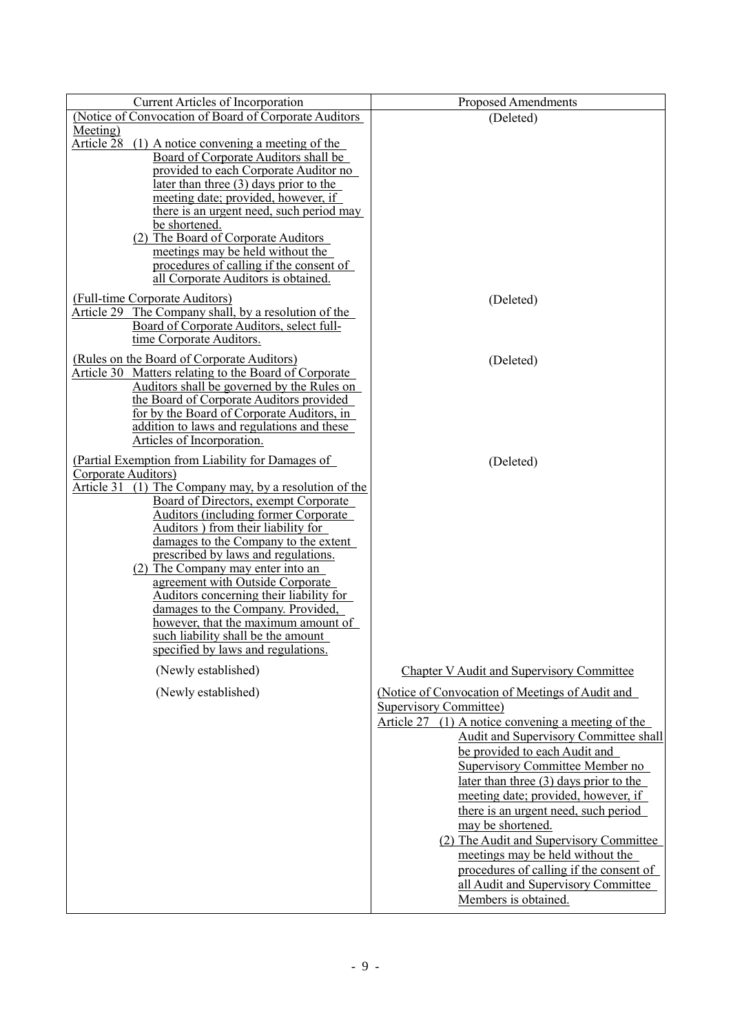| <b>Current Articles of Incorporation</b>                                                          | <b>Proposed Amendments</b>                                             |
|---------------------------------------------------------------------------------------------------|------------------------------------------------------------------------|
| (Notice of Convocation of Board of Corporate Auditors                                             | (Deleted)                                                              |
| Meeting)                                                                                          |                                                                        |
| Article 28<br>$(1)$ A notice convening a meeting of the<br>Board of Corporate Auditors shall be   |                                                                        |
| provided to each Corporate Auditor no                                                             |                                                                        |
| <u>later than three <math>(3)</math> days prior to the</u>                                        |                                                                        |
| meeting date; provided, however, if                                                               |                                                                        |
| there is an urgent need, such period may<br>be shortened.                                         |                                                                        |
| (2) The Board of Corporate Auditors                                                               |                                                                        |
| meetings may be held without the                                                                  |                                                                        |
| procedures of calling if the consent of                                                           |                                                                        |
| all Corporate Auditors is obtained.                                                               |                                                                        |
| (Full-time Corporate Auditors)                                                                    | (Deleted)                                                              |
| Article 29 The Company shall, by a resolution of the<br>Board of Corporate Auditors, select full- |                                                                        |
| time Corporate Auditors.                                                                          |                                                                        |
| (Rules on the Board of Corporate Auditors)                                                        | (Deleted)                                                              |
| Article 30 Matters relating to the Board of Corporate                                             |                                                                        |
| Auditors shall be governed by the Rules on                                                        |                                                                        |
| the Board of Corporate Auditors provided<br>for by the Board of Corporate Auditors, in            |                                                                        |
| addition to laws and regulations and these                                                        |                                                                        |
| Articles of Incorporation.                                                                        |                                                                        |
| (Partial Exemption from Liability for Damages of                                                  | (Deleted)                                                              |
| Corporate Auditors)                                                                               |                                                                        |
| Article 31 (1) The Company may, by a resolution of the<br>Board of Directors, exempt Corporate    |                                                                        |
| <b>Auditors (including former Corporate</b>                                                       |                                                                        |
| Auditors) from their liability for                                                                |                                                                        |
| damages to the Company to the extent<br>prescribed by laws and regulations.                       |                                                                        |
| (2) The Company may enter into an                                                                 |                                                                        |
| agreement with Outside Corporate                                                                  |                                                                        |
| Auditors concerning their liability for                                                           |                                                                        |
| damages to the Company. Provided,<br>however, that the maximum amount of                          |                                                                        |
| such liability shall be the amount                                                                |                                                                        |
| specified by laws and regulations.                                                                |                                                                        |
| (Newly established)                                                                               | <b>Chapter V Audit and Supervisory Committee</b>                       |
| (Newly established)                                                                               | (Notice of Convocation of Meetings of Audit and                        |
|                                                                                                   | <b>Supervisory Committee)</b>                                          |
|                                                                                                   | Article $27$ (1) A notice convening a meeting of the                   |
|                                                                                                   | Audit and Supervisory Committee shall<br>be provided to each Audit and |
|                                                                                                   | Supervisory Committee Member no                                        |
|                                                                                                   | later than three $(3)$ days prior to the                               |
|                                                                                                   | meeting date; provided, however, if                                    |
|                                                                                                   | there is an urgent need, such period                                   |
|                                                                                                   | may be shortened.<br>(2) The Audit and Supervisory Committee           |
|                                                                                                   | meetings may be held without the                                       |
|                                                                                                   | procedures of calling if the consent of                                |
|                                                                                                   | all Audit and Supervisory Committee                                    |
|                                                                                                   | Members is obtained.                                                   |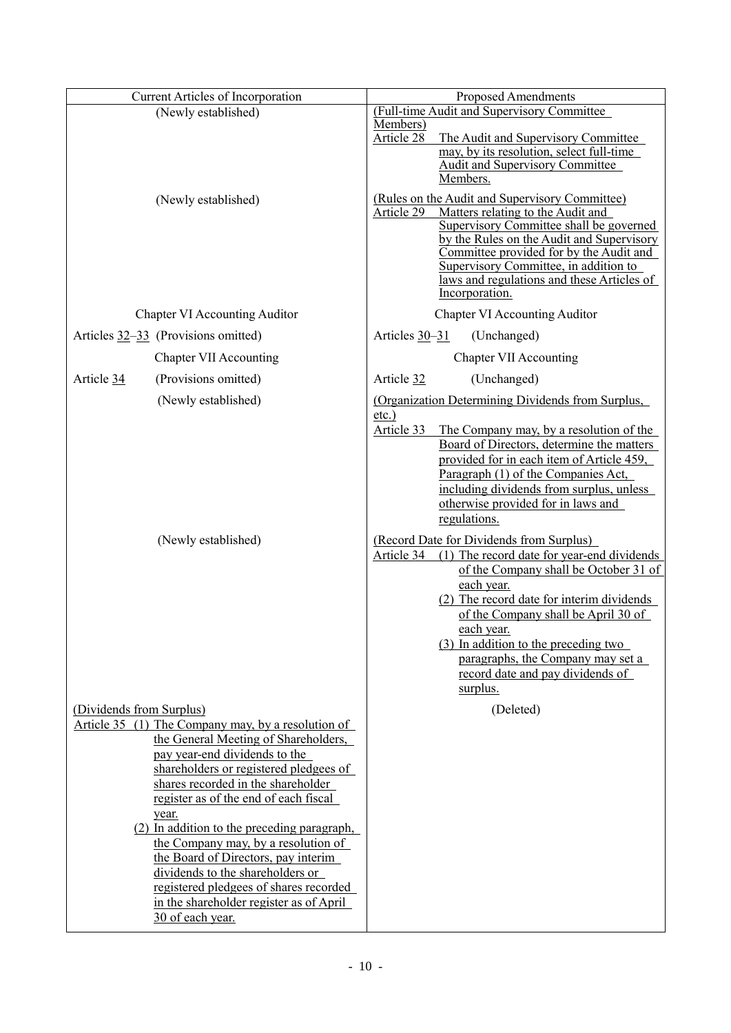|                          | <b>Current Articles of Incorporation</b>                                     | <b>Proposed Amendments</b>                  |                                                                                      |  |
|--------------------------|------------------------------------------------------------------------------|---------------------------------------------|--------------------------------------------------------------------------------------|--|
| (Newly established)      |                                                                              | (Full-time Audit and Supervisory Committee) |                                                                                      |  |
|                          |                                                                              | Members)<br>Article 28                      | The Audit and Supervisory Committee                                                  |  |
|                          |                                                                              |                                             | may, by its resolution, select full-time                                             |  |
|                          |                                                                              |                                             | <b>Audit and Supervisory Committee</b>                                               |  |
|                          |                                                                              |                                             | Members.                                                                             |  |
|                          | (Newly established)                                                          | Article 29                                  | (Rules on the Audit and Supervisory Committee)<br>Matters relating to the Audit and  |  |
|                          |                                                                              |                                             | Supervisory Committee shall be governed                                              |  |
|                          |                                                                              |                                             | by the Rules on the Audit and Supervisory<br>Committee provided for by the Audit and |  |
|                          |                                                                              |                                             | Supervisory Committee, in addition to                                                |  |
|                          |                                                                              |                                             | laws and regulations and these Articles of                                           |  |
|                          |                                                                              |                                             | Incorporation.                                                                       |  |
|                          | <b>Chapter VI Accounting Auditor</b>                                         |                                             | <b>Chapter VI Accounting Auditor</b>                                                 |  |
|                          | Articles $32-33$ (Provisions omitted)                                        | Articles $30 - 31$                          | (Unchanged)                                                                          |  |
|                          | <b>Chapter VII Accounting</b>                                                |                                             | <b>Chapter VII Accounting</b>                                                        |  |
| Article 34               | (Provisions omitted)                                                         | Article 32                                  | (Unchanged)                                                                          |  |
|                          | (Newly established)                                                          | $etc.$ )                                    | (Organization Determining Dividends from Surplus,                                    |  |
|                          |                                                                              | Article 33                                  | The Company may, by a resolution of the                                              |  |
|                          |                                                                              |                                             | Board of Directors, determine the matters                                            |  |
|                          |                                                                              |                                             | provided for in each item of Article 459,                                            |  |
|                          |                                                                              |                                             | Paragraph (1) of the Companies Act,                                                  |  |
|                          |                                                                              |                                             | including dividends from surplus, unless                                             |  |
|                          |                                                                              |                                             | otherwise provided for in laws and<br>regulations.                                   |  |
|                          | (Newly established)                                                          |                                             | (Record Date for Dividends from Surplus)                                             |  |
|                          |                                                                              | Article 34                                  | (1) The record date for year-end dividends                                           |  |
|                          |                                                                              |                                             | of the Company shall be October 31 of                                                |  |
|                          |                                                                              |                                             | each year.                                                                           |  |
|                          |                                                                              |                                             | (2) The record date for interim dividends                                            |  |
|                          |                                                                              |                                             | of the Company shall be April 30 of                                                  |  |
|                          |                                                                              |                                             | <u>each year.</u><br>(3) In addition to the preceding two                            |  |
|                          |                                                                              |                                             | paragraphs, the Company may set a                                                    |  |
|                          |                                                                              |                                             | record date and pay dividends of                                                     |  |
|                          |                                                                              |                                             | surplus.                                                                             |  |
| (Dividends from Surplus) |                                                                              |                                             | (Deleted)                                                                            |  |
|                          | Article 35 (1) The Company may, by a resolution of                           |                                             |                                                                                      |  |
|                          | the General Meeting of Shareholders,                                         |                                             |                                                                                      |  |
|                          | pay year-end dividends to the                                                |                                             |                                                                                      |  |
|                          | shareholders or registered pledgees of<br>shares recorded in the shareholder |                                             |                                                                                      |  |
|                          | register as of the end of each fiscal                                        |                                             |                                                                                      |  |
|                          | year.                                                                        |                                             |                                                                                      |  |
|                          | (2) In addition to the preceding paragraph,                                  |                                             |                                                                                      |  |
|                          | the Company may, by a resolution of                                          |                                             |                                                                                      |  |
|                          | the Board of Directors, pay interim                                          |                                             |                                                                                      |  |
|                          | dividends to the shareholders or<br>registered pledgees of shares recorded   |                                             |                                                                                      |  |
|                          | in the shareholder register as of April                                      |                                             |                                                                                      |  |
|                          | 30 of each year.                                                             |                                             |                                                                                      |  |
|                          |                                                                              |                                             |                                                                                      |  |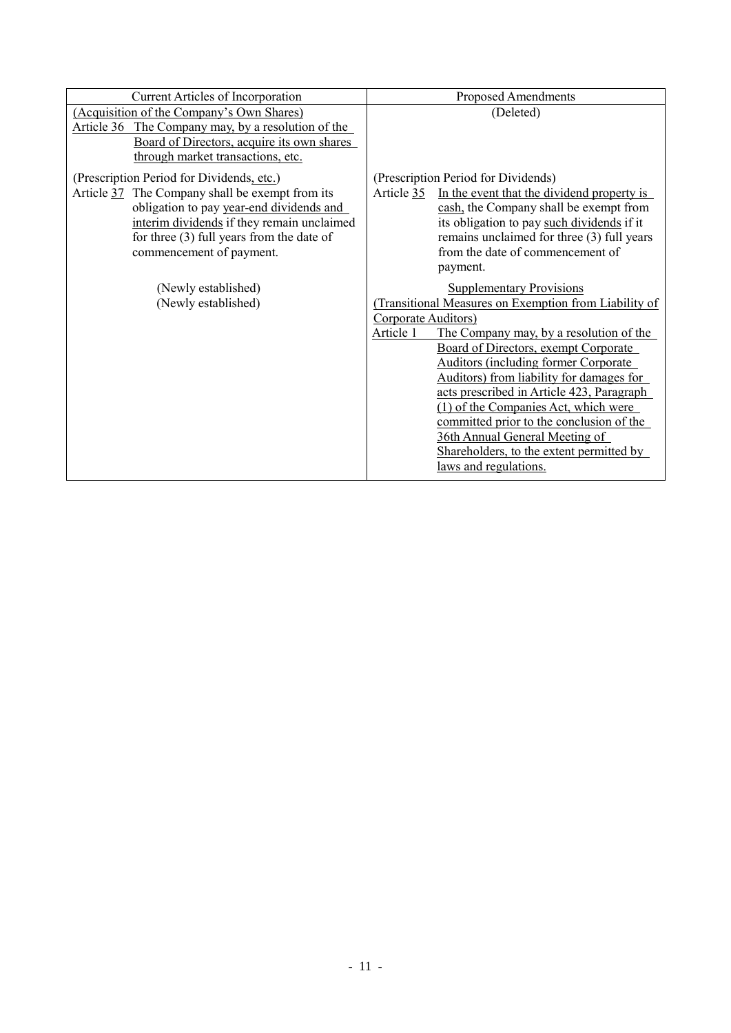| <b>Current Articles of Incorporation</b>                                                                                                                                                                                                                          | <b>Proposed Amendments</b>                                                                                                                                                                                                                                                                                                                                                                                                                                                                                                                         |
|-------------------------------------------------------------------------------------------------------------------------------------------------------------------------------------------------------------------------------------------------------------------|----------------------------------------------------------------------------------------------------------------------------------------------------------------------------------------------------------------------------------------------------------------------------------------------------------------------------------------------------------------------------------------------------------------------------------------------------------------------------------------------------------------------------------------------------|
| (Acquisition of the Company's Own Shares)<br>Article 36 The Company may, by a resolution of the<br>Board of Directors, acquire its own shares<br>through market transactions, etc.                                                                                | (Deleted)                                                                                                                                                                                                                                                                                                                                                                                                                                                                                                                                          |
| (Prescription Period for Dividends, etc.)<br>Article 37 The Company shall be exempt from its<br>obligation to pay year-end dividends and<br>interim dividends if they remain unclaimed<br>for three $(3)$ full years from the date of<br>commencement of payment. | (Prescription Period for Dividends)<br>In the event that the dividend property is<br>Article 35<br>cash, the Company shall be exempt from<br>its obligation to pay such dividends if it<br>remains unclaimed for three (3) full years<br>from the date of commencement of<br>payment.                                                                                                                                                                                                                                                              |
| (Newly established)<br>(Newly established)                                                                                                                                                                                                                        | <b>Supplementary Provisions</b><br>(Transitional Measures on Exemption from Liability of<br>Corporate Auditors)<br>Article 1<br>The Company may, by a resolution of the<br>Board of Directors, exempt Corporate<br><b>Auditors (including former Corporate</b><br>Auditors) from liability for damages for<br>acts prescribed in Article 423, Paragraph<br>(1) of the Companies Act, which were<br>committed prior to the conclusion of the<br>36th Annual General Meeting of<br>Shareholders, to the extent permitted by<br>laws and regulations. |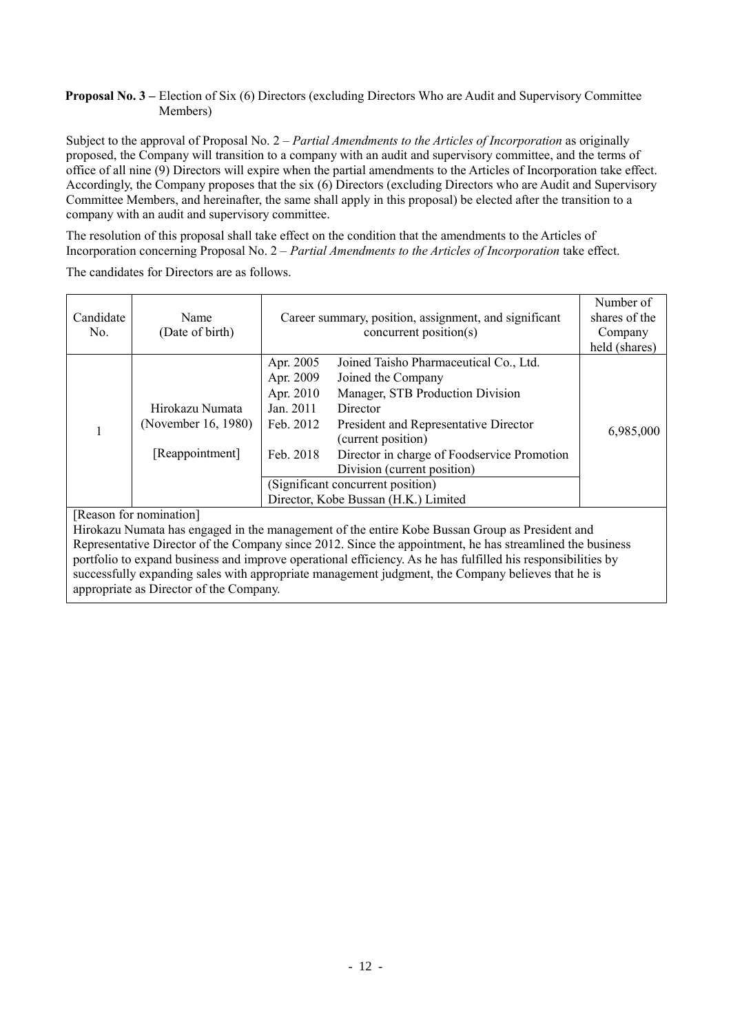## **Proposal No. 3 –** Election of Six (6) Directors (excluding Directors Who are Audit and Supervisory Committee Members)

Subject to the approval of Proposal No. 2 – *Partial Amendments to the Articles of Incorporation* as originally proposed, the Company will transition to a company with an audit and supervisory committee, and the terms of office of all nine (9) Directors will expire when the partial amendments to the Articles of Incorporation take effect. Accordingly, the Company proposes that the six (6) Directors (excluding Directors who are Audit and Supervisory Committee Members, and hereinafter, the same shall apply in this proposal) be elected after the transition to a company with an audit and supervisory committee.

The resolution of this proposal shall take effect on the condition that the amendments to the Articles of Incorporation concerning Proposal No. 2 – *Partial Amendments to the Articles of Incorporation* take effect.

The candidates for Directors are as follows.

| Candidate<br>No. | Name<br>(Date of birth) | Career summary, position, assignment, and significant<br>concurrent position( $s$ ) |                                                             | Number of<br>shares of the<br>Company<br>held (shares) |
|------------------|-------------------------|-------------------------------------------------------------------------------------|-------------------------------------------------------------|--------------------------------------------------------|
|                  |                         | Apr. 2005                                                                           | Joined Taisho Pharmaceutical Co., Ltd.                      |                                                        |
|                  |                         | Apr. 2009                                                                           | Joined the Company                                          |                                                        |
|                  |                         | Apr. 2010                                                                           | Manager, STB Production Division                            |                                                        |
|                  | Hirokazu Numata         | Jan. 2011                                                                           | Director                                                    |                                                        |
|                  | (November 16, 1980)     | Feb. 2012                                                                           | President and Representative Director<br>(current position) | 6,985,000                                              |
|                  | [Reappointment]         | Feb. 2018                                                                           | Director in charge of Foodservice Promotion                 |                                                        |
|                  |                         |                                                                                     | Division (current position)                                 |                                                        |
|                  |                         | (Significant concurrent position)                                                   |                                                             |                                                        |
|                  |                         | Director, Kobe Bussan (H.K.) Limited                                                |                                                             |                                                        |

# [Reason for nomination]

Hirokazu Numata has engaged in the management of the entire Kobe Bussan Group as President and Representative Director of the Company since 2012. Since the appointment, he has streamlined the business portfolio to expand business and improve operational efficiency. As he has fulfilled his responsibilities by successfully expanding sales with appropriate management judgment, the Company believes that he is appropriate as Director of the Company.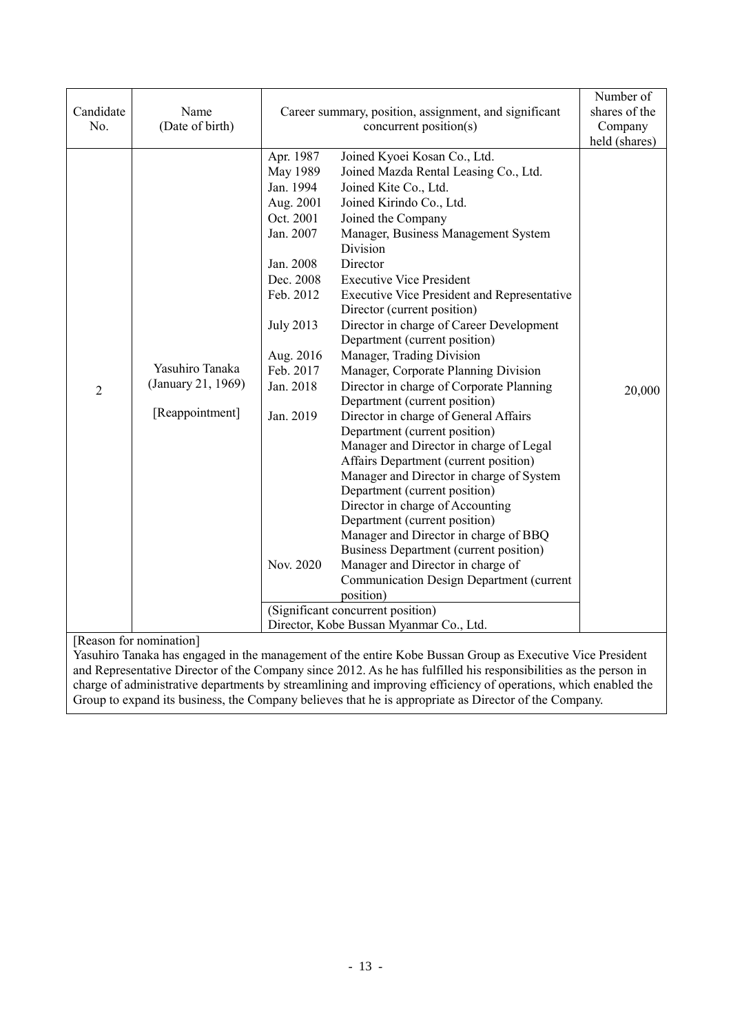| Apr. 1987<br>Joined Kyoei Kosan Co., Ltd.<br>May 1989<br>Joined Mazda Rental Leasing Co., Ltd.<br>Jan. 1994<br>Joined Kite Co., Ltd.<br>Aug. 2001<br>Joined Kirindo Co., Ltd.<br>Oct. 2001<br>Joined the Company<br>Manager, Business Management System<br>Jan. 2007<br>Division<br>Director<br>Jan. 2008<br>Dec. 2008<br><b>Executive Vice President</b><br>Feb. 2012<br>Executive Vice President and Representative<br>Director (current position)<br>Director in charge of Career Development<br><b>July 2013</b><br>Department (current position)<br>Manager, Trading Division<br>Aug. 2016<br>Yasuhiro Tanaka<br>Feb. 2017<br>Manager, Corporate Planning Division<br>(January 21, 1969)<br>Director in charge of Corporate Planning<br>Jan. 2018<br>$\overline{2}$<br>20,000<br>Department (current position)<br>[Reappointment]<br>Director in charge of General Affairs<br>Jan. 2019<br>Department (current position)<br>Manager and Director in charge of Legal<br>Affairs Department (current position)<br>Manager and Director in charge of System<br>Department (current position)<br>Director in charge of Accounting<br>Department (current position)<br>Manager and Director in charge of BBQ | Candidate<br>No. | Name<br>(Date of birth) | Career summary, position, assignment, and significant<br>concurrent position(s) |  |
|--------------------------------------------------------------------------------------------------------------------------------------------------------------------------------------------------------------------------------------------------------------------------------------------------------------------------------------------------------------------------------------------------------------------------------------------------------------------------------------------------------------------------------------------------------------------------------------------------------------------------------------------------------------------------------------------------------------------------------------------------------------------------------------------------------------------------------------------------------------------------------------------------------------------------------------------------------------------------------------------------------------------------------------------------------------------------------------------------------------------------------------------------------------------------------------------------------------|------------------|-------------------------|---------------------------------------------------------------------------------|--|
| <b>Business Department (current position)</b><br>Manager and Director in charge of<br>Nov. 2020<br><b>Communication Design Department (current</b><br>position)<br>(Significant concurrent position)<br>Director, Kobe Bussan Myanmar Co., Ltd.<br>[D]                                                                                                                                                                                                                                                                                                                                                                                                                                                                                                                                                                                                                                                                                                                                                                                                                                                                                                                                                       |                  |                         |                                                                                 |  |

[Reason for nomination]

Yasuhiro Tanaka has engaged in the management of the entire Kobe Bussan Group as Executive Vice President and Representative Director of the Company since 2012. As he has fulfilled his responsibilities as the person in charge of administrative departments by streamlining and improving efficiency of operations, which enabled the Group to expand its business, the Company believes that he is appropriate as Director of the Company.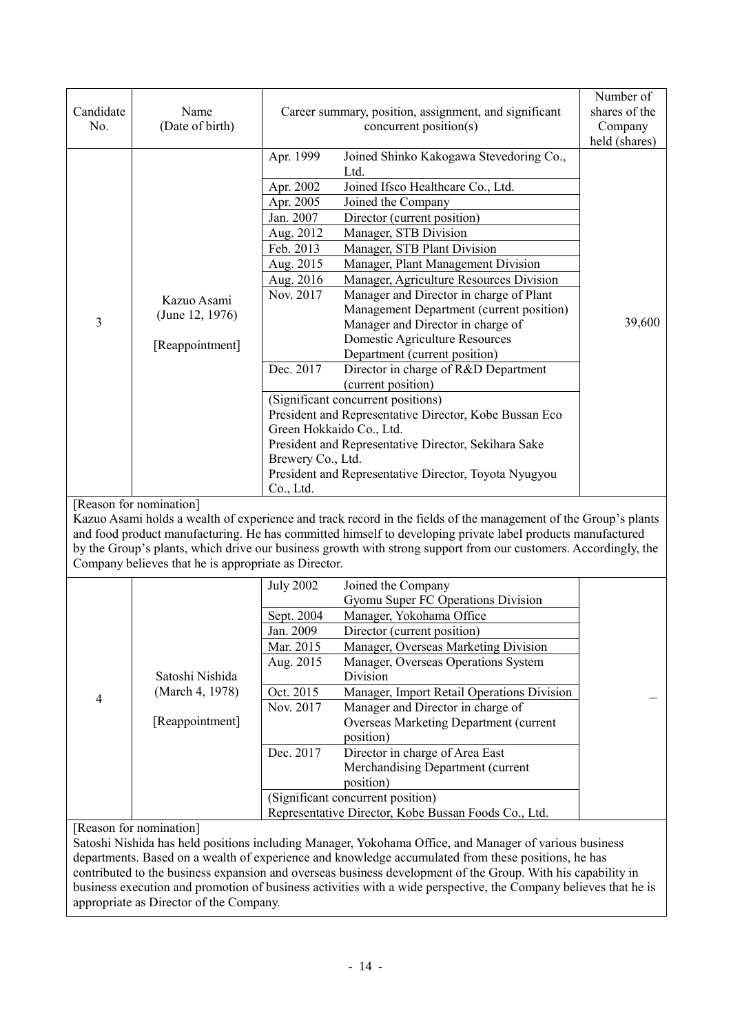|                |                                                      |                                                                                                                 |                                                                               | Number of     |
|----------------|------------------------------------------------------|-----------------------------------------------------------------------------------------------------------------|-------------------------------------------------------------------------------|---------------|
| Candidate      | Name                                                 | Career summary, position, assignment, and significant                                                           |                                                                               | shares of the |
| No.            | (Date of birth)                                      | concurrent position(s)                                                                                          |                                                                               | Company       |
|                |                                                      |                                                                                                                 |                                                                               | held (shares) |
|                |                                                      | Apr. 1999                                                                                                       | Joined Shinko Kakogawa Stevedoring Co.,                                       |               |
|                |                                                      | Ltd.<br>Joined Ifsco Healthcare Co., Ltd.                                                                       |                                                                               |               |
|                |                                                      | Apr. 2002                                                                                                       |                                                                               |               |
|                |                                                      | Joined the Company<br>Apr. 2005<br>Jan. 2007<br>Director (current position)                                     |                                                                               |               |
|                |                                                      | Aug. 2012<br>Manager, STB Division                                                                              |                                                                               |               |
|                |                                                      | Feb. 2013                                                                                                       |                                                                               |               |
|                |                                                      | Manager, STB Plant Division                                                                                     |                                                                               |               |
|                |                                                      | Aug. 2015                                                                                                       | Manager, Plant Management Division                                            |               |
|                |                                                      | Aug. 2016<br>Nov. 2017                                                                                          | Manager, Agriculture Resources Division                                       |               |
|                | Kazuo Asami                                          |                                                                                                                 | Manager and Director in charge of Plant                                       |               |
| 3              | (June 12, 1976)                                      |                                                                                                                 | Management Department (current position)<br>Manager and Director in charge of | 39,600        |
|                |                                                      | Domestic Agriculture Resources                                                                                  |                                                                               |               |
|                | [Reappointment]                                      | Department (current position)                                                                                   |                                                                               |               |
|                |                                                      | Dec. 2017                                                                                                       | Director in charge of R&D Department                                          |               |
|                |                                                      | (current position)                                                                                              |                                                                               |               |
|                |                                                      | (Significant concurrent positions)                                                                              |                                                                               |               |
|                |                                                      | President and Representative Director, Kobe Bussan Eco                                                          |                                                                               |               |
|                |                                                      | Green Hokkaido Co., Ltd.                                                                                        |                                                                               |               |
|                |                                                      | President and Representative Director, Sekihara Sake                                                            |                                                                               |               |
|                |                                                      | Brewery Co., Ltd.                                                                                               |                                                                               |               |
|                |                                                      | President and Representative Director, Toyota Nyugyou                                                           |                                                                               |               |
|                |                                                      | Co., Ltd.                                                                                                       |                                                                               |               |
|                | [Reason for nomination]                              |                                                                                                                 |                                                                               |               |
|                |                                                      | Kazuo Asami holds a wealth of experience and track record in the fields of the management of the Group's plants |                                                                               |               |
|                |                                                      | and food product manufacturing. He has committed himself to developing private label products manufactured      |                                                                               |               |
|                |                                                      | by the Group's plants, which drive our business growth with strong support from our customers. Accordingly, the |                                                                               |               |
|                | Company believes that he is appropriate as Director. |                                                                                                                 |                                                                               |               |
|                |                                                      | <b>July 2002</b><br>Joined the Company                                                                          |                                                                               |               |
|                |                                                      |                                                                                                                 | Gyomu Super FC Operations Division                                            |               |
|                |                                                      | Manager, Yokohama Office<br>Sept. 2004                                                                          |                                                                               |               |
|                |                                                      | Jan. 2009<br>Director (current position)                                                                        |                                                                               |               |
|                |                                                      | Mar. 2015                                                                                                       | Manager, Overseas Marketing Division                                          |               |
|                |                                                      | Aug. 2015                                                                                                       | Manager, Overseas Operations System                                           |               |
|                | Satoshi Nishida                                      | Division                                                                                                        |                                                                               |               |
| $\overline{4}$ | (March 4, 1978)                                      | Oct. 2015                                                                                                       | Manager, Import Retail Operations Division                                    |               |
|                |                                                      | Nov. 2017                                                                                                       | Manager and Director in charge of                                             |               |
|                | [Reappointment]                                      |                                                                                                                 | <b>Overseas Marketing Department (current</b>                                 |               |
|                |                                                      | position)                                                                                                       |                                                                               |               |
|                |                                                      | Dec. 2017<br>Director in charge of Area East                                                                    |                                                                               |               |
|                |                                                      |                                                                                                                 | Merchandising Department (current                                             |               |
|                |                                                      | position)                                                                                                       |                                                                               |               |
|                |                                                      | (Significant concurrent position)<br>Representative Director, Kobe Bussan Foods Co., Ltd.                       |                                                                               |               |
|                | [Reason for nomination]                              |                                                                                                                 |                                                                               |               |
|                |                                                      |                                                                                                                 |                                                                               |               |

Satoshi Nishida has held positions including Manager, Yokohama Office, and Manager of various business departments. Based on a wealth of experience and knowledge accumulated from these positions, he has contributed to the business expansion and overseas business development of the Group. With his capability in business execution and promotion of business activities with a wide perspective, the Company believes that he is appropriate as Director of the Company.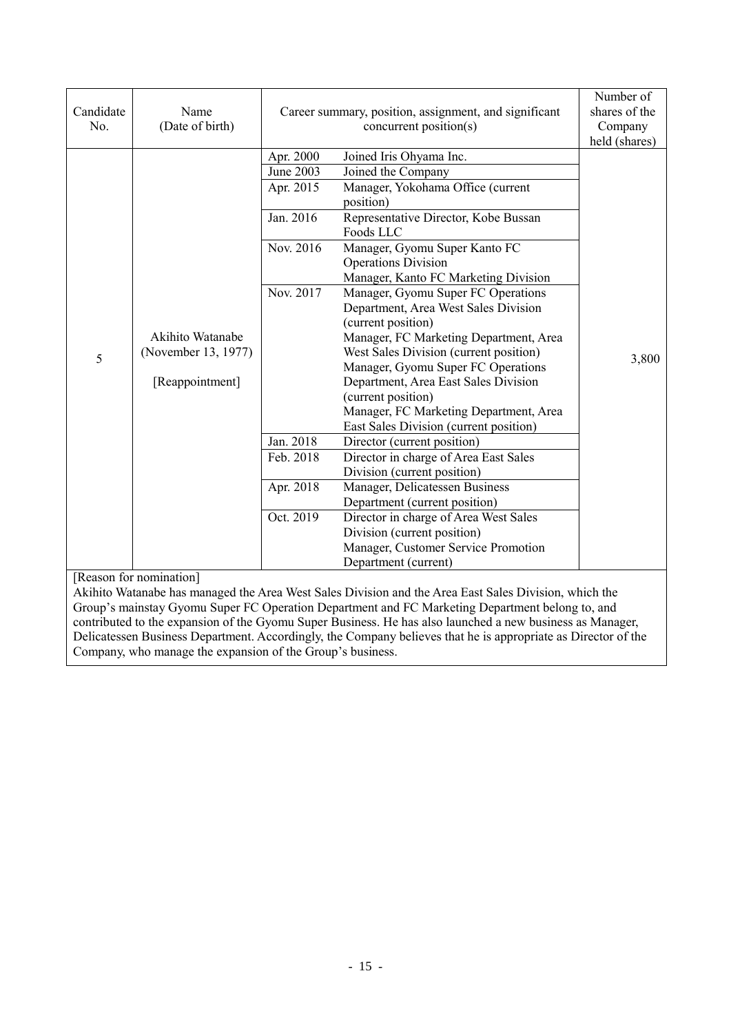| Candidate<br>No.                                                                                                                 | Name<br>(Date of birth)                 |           | Career summary, position, assignment, and significant<br>concurrent position(s) | Number of<br>shares of the<br>Company<br>held (shares) |
|----------------------------------------------------------------------------------------------------------------------------------|-----------------------------------------|-----------|---------------------------------------------------------------------------------|--------------------------------------------------------|
|                                                                                                                                  |                                         | Apr. 2000 | Joined Iris Ohyama Inc.                                                         |                                                        |
|                                                                                                                                  |                                         | June 2003 | Joined the Company                                                              |                                                        |
|                                                                                                                                  |                                         | Apr. 2015 | Manager, Yokohama Office (current                                               |                                                        |
|                                                                                                                                  |                                         |           | position)                                                                       |                                                        |
|                                                                                                                                  |                                         | Jan. 2016 | Representative Director, Kobe Bussan                                            |                                                        |
|                                                                                                                                  |                                         |           | Foods LLC                                                                       |                                                        |
|                                                                                                                                  |                                         | Nov. 2016 | Manager, Gyomu Super Kanto FC                                                   |                                                        |
|                                                                                                                                  |                                         |           | <b>Operations Division</b>                                                      |                                                        |
|                                                                                                                                  |                                         |           | Manager, Kanto FC Marketing Division                                            |                                                        |
|                                                                                                                                  |                                         | Nov. 2017 | Manager, Gyomu Super FC Operations                                              |                                                        |
|                                                                                                                                  |                                         |           | Department, Area West Sales Division                                            |                                                        |
|                                                                                                                                  | Akihito Watanabe<br>(November 13, 1977) |           | (current position)                                                              |                                                        |
|                                                                                                                                  |                                         |           | Manager, FC Marketing Department, Area                                          |                                                        |
| 5                                                                                                                                |                                         |           | West Sales Division (current position)                                          | 3,800                                                  |
|                                                                                                                                  |                                         |           | Manager, Gyomu Super FC Operations                                              |                                                        |
|                                                                                                                                  | [Reappointment]                         |           | Department, Area East Sales Division                                            |                                                        |
|                                                                                                                                  |                                         |           | (current position)                                                              |                                                        |
|                                                                                                                                  |                                         |           | Manager, FC Marketing Department, Area                                          |                                                        |
|                                                                                                                                  |                                         |           | East Sales Division (current position)                                          |                                                        |
|                                                                                                                                  |                                         | Jan. 2018 | Director (current position)                                                     |                                                        |
|                                                                                                                                  |                                         | Feb. 2018 | Director in charge of Area East Sales                                           |                                                        |
|                                                                                                                                  |                                         |           | Division (current position)                                                     |                                                        |
|                                                                                                                                  |                                         | Apr. 2018 | Manager, Delicatessen Business                                                  |                                                        |
|                                                                                                                                  |                                         |           | Department (current position)                                                   |                                                        |
|                                                                                                                                  |                                         | Oct. 2019 | Director in charge of Area West Sales                                           |                                                        |
|                                                                                                                                  |                                         |           | Division (current position)                                                     |                                                        |
|                                                                                                                                  |                                         |           | Manager, Customer Service Promotion                                             |                                                        |
|                                                                                                                                  |                                         |           | Department (current)                                                            |                                                        |
| [Reason for nomination]<br>Akihito Watanabe has managed the Area West Sales Division and the Area East Sales Division, which the |                                         |           |                                                                                 |                                                        |

Akihito Watanabe has managed the Area West Sales Division and the Area East Sales Division, which the Group's mainstay Gyomu Super FC Operation Department and FC Marketing Department belong to, and contributed to the expansion of the Gyomu Super Business. He has also launched a new business as Manager, Delicatessen Business Department. Accordingly, the Company believes that he is appropriate as Director of the Company, who manage the expansion of the Group's business.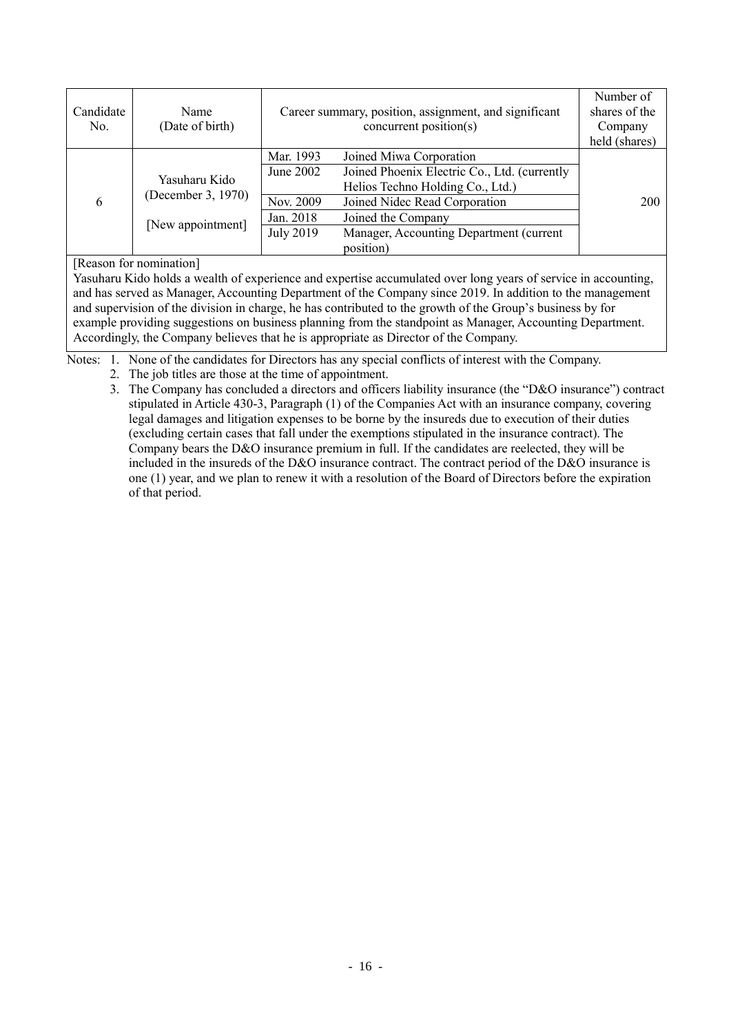| Candidate<br>No. | Name<br>(Date of birth)             |                                     | Career summary, position, assignment, and significant<br>concurrent position(s)                                                              | Number of<br>shares of the<br>Company<br>held (shares) |
|------------------|-------------------------------------|-------------------------------------|----------------------------------------------------------------------------------------------------------------------------------------------|--------------------------------------------------------|
| 6                | Yasuharu Kido<br>(December 3, 1970) | Mar. 1993<br>June 2002<br>Nov. 2009 | Joined Miwa Corporation<br>Joined Phoenix Electric Co., Ltd. (currently<br>Helios Techno Holding Co., Ltd.)<br>Joined Nidec Read Corporation | 200                                                    |
|                  | [New appointment]                   | Jan. 2018<br><b>July 2019</b>       | Joined the Company<br>Manager, Accounting Department (current<br>position)                                                                   |                                                        |

[Reason for nomination]

Yasuharu Kido holds a wealth of experience and expertise accumulated over long years of service in accounting, and has served as Manager, Accounting Department of the Company since 2019. In addition to the management and supervision of the division in charge, he has contributed to the growth of the Group's business by for example providing suggestions on business planning from the standpoint as Manager, Accounting Department. Accordingly, the Company believes that he is appropriate as Director of the Company.

Notes: 1. None of the candidates for Directors has any special conflicts of interest with the Company.

2. The job titles are those at the time of appointment.

3. The Company has concluded a directors and officers liability insurance (the "D&O insurance") contract stipulated in Article 430-3, Paragraph (1) of the Companies Act with an insurance company, covering legal damages and litigation expenses to be borne by the insureds due to execution of their duties (excluding certain cases that fall under the exemptions stipulated in the insurance contract). The Company bears the D&O insurance premium in full. If the candidates are reelected, they will be included in the insureds of the D&O insurance contract. The contract period of the D&O insurance is one (1) year, and we plan to renew it with a resolution of the Board of Directors before the expiration of that period.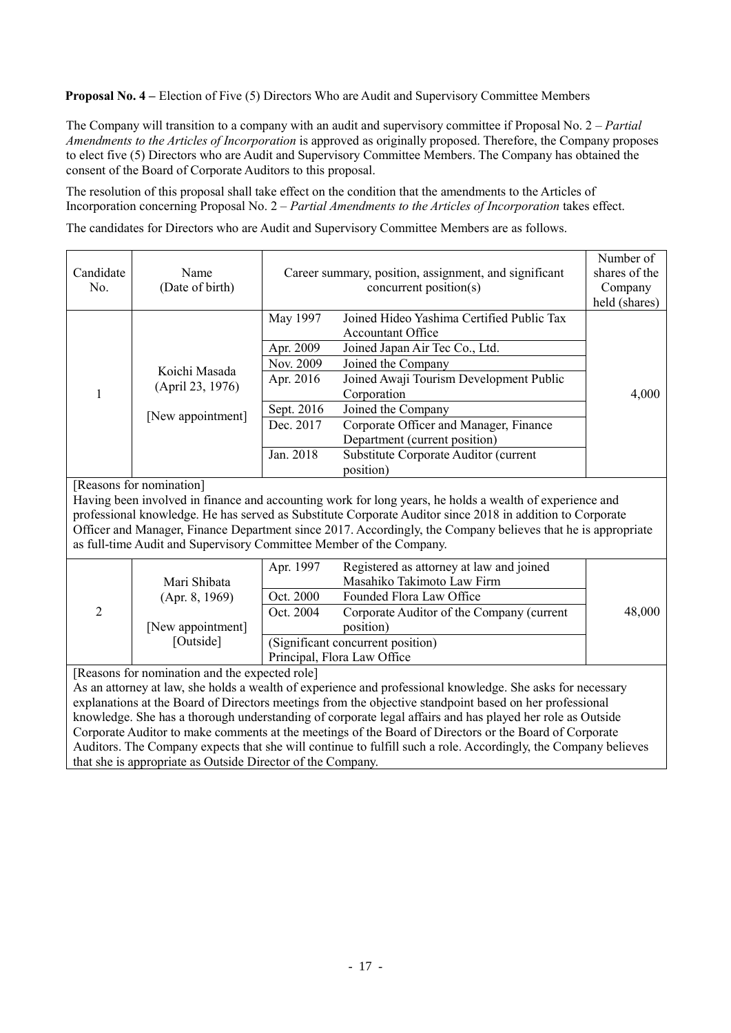**Proposal No. 4 – Election of Five (5) Directors Who are Audit and Supervisory Committee Members** 

The Company will transition to a company with an audit and supervisory committee if Proposal No. 2 – *Partial Amendments to the Articles of Incorporation* is approved as originally proposed. Therefore, the Company proposes to elect five (5) Directors who are Audit and Supervisory Committee Members. The Company has obtained the consent of the Board of Corporate Auditors to this proposal.

The resolution of this proposal shall take effect on the condition that the amendments to the Articles of Incorporation concerning Proposal No. 2 – *Partial Amendments to the Articles of Incorporation* takes effect.

The candidates for Directors who are Audit and Supervisory Committee Members are as follows.

| Candidate<br>No.                                                                                                                                                                                                                                                                                                                                                                                                                                                                                                                                                                                                                                                                | Name<br>(Date of birth)                                          |                                                                                         | Career summary, position, assignment, and significant<br>concurrent position(s)                                                                                                                                                                                                                                                                | Number of<br>shares of the<br>Company<br>held (shares) |
|---------------------------------------------------------------------------------------------------------------------------------------------------------------------------------------------------------------------------------------------------------------------------------------------------------------------------------------------------------------------------------------------------------------------------------------------------------------------------------------------------------------------------------------------------------------------------------------------------------------------------------------------------------------------------------|------------------------------------------------------------------|-----------------------------------------------------------------------------------------|------------------------------------------------------------------------------------------------------------------------------------------------------------------------------------------------------------------------------------------------------------------------------------------------------------------------------------------------|--------------------------------------------------------|
| 1                                                                                                                                                                                                                                                                                                                                                                                                                                                                                                                                                                                                                                                                               | Koichi Masada<br>(April 23, 1976)<br>[New appointment]           | May 1997<br>Apr. 2009<br>Nov. 2009<br>Apr. 2016<br>Sept. 2016<br>Dec. 2017<br>Jan. 2018 | Joined Hideo Yashima Certified Public Tax<br><b>Accountant Office</b><br>Joined Japan Air Tec Co., Ltd.<br>Joined the Company<br>Joined Awaji Tourism Development Public<br>Corporation<br>Joined the Company<br>Corporate Officer and Manager, Finance<br>Department (current position)<br>Substitute Corporate Auditor (current<br>position) | 4,000                                                  |
| [Reasons for nomination]<br>Having been involved in finance and accounting work for long years, he holds a wealth of experience and<br>professional knowledge. He has served as Substitute Corporate Auditor since 2018 in addition to Corporate<br>Officer and Manager, Finance Department since 2017. Accordingly, the Company believes that he is appropriate<br>as full-time Audit and Supervisory Committee Member of the Company.                                                                                                                                                                                                                                         |                                                                  |                                                                                         |                                                                                                                                                                                                                                                                                                                                                |                                                        |
| 2                                                                                                                                                                                                                                                                                                                                                                                                                                                                                                                                                                                                                                                                               | Mari Shibata<br>(Apr. 8, 1969)<br>[New appointment]<br>[Outside] | Apr. 1997<br>Oct. 2000<br>Oct. 2004                                                     | Registered as attorney at law and joined<br>Masahiko Takimoto Law Firm<br>Founded Flora Law Office<br>Corporate Auditor of the Company (current<br>position)<br>(Significant concurrent position)<br>Principal, Flora Law Office                                                                                                               | 48,000                                                 |
| [Reasons for nomination and the expected role]<br>As an attorney at law, she holds a wealth of experience and professional knowledge. She asks for necessary<br>explanations at the Board of Directors meetings from the objective standpoint based on her professional<br>knowledge. She has a thorough understanding of corporate legal affairs and has played her role as Outside<br>Corporate Auditor to make comments at the meetings of the Board of Directors or the Board of Corporate<br>Auditors. The Company expects that she will continue to fulfill such a role. Accordingly, the Company believes<br>that she is appropriate as Outside Director of the Company. |                                                                  |                                                                                         |                                                                                                                                                                                                                                                                                                                                                |                                                        |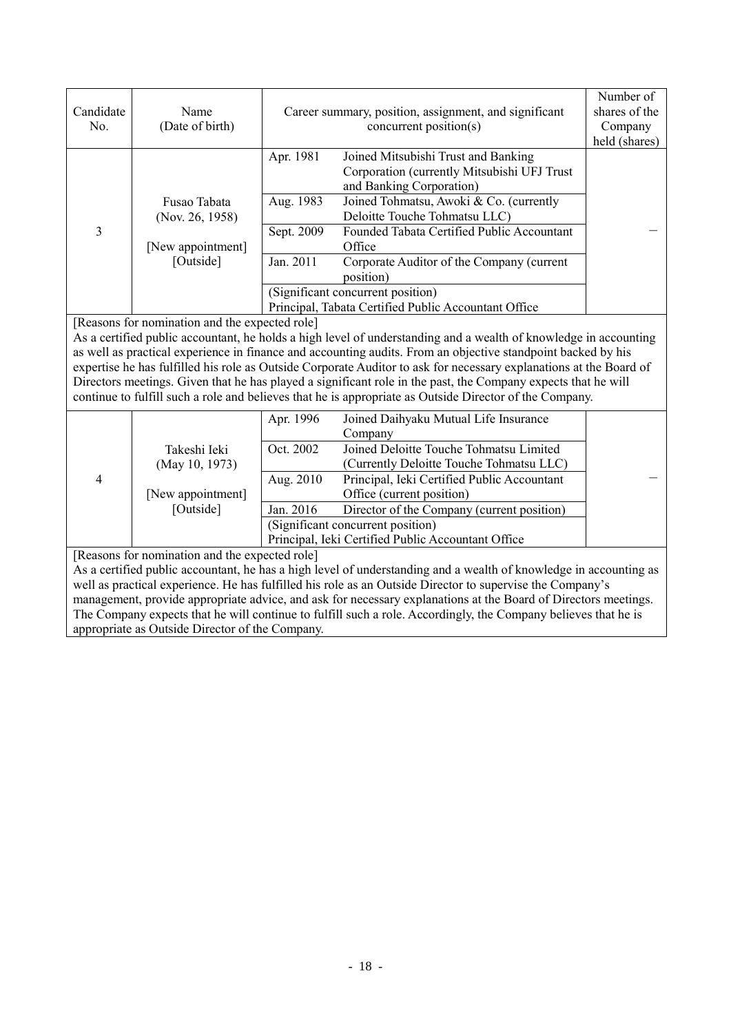| Candidate<br>No.                                                                                                  | Name<br>(Date of birth)                        | Career summary, position, assignment, and significant<br>concurrent position(s) |                                                                                                                                                                                                                                                                                                                                                                                                                                                                                                                                                                                    | Number of<br>shares of the<br>Company<br>held (shares) |
|-------------------------------------------------------------------------------------------------------------------|------------------------------------------------|---------------------------------------------------------------------------------|------------------------------------------------------------------------------------------------------------------------------------------------------------------------------------------------------------------------------------------------------------------------------------------------------------------------------------------------------------------------------------------------------------------------------------------------------------------------------------------------------------------------------------------------------------------------------------|--------------------------------------------------------|
|                                                                                                                   |                                                | Apr. 1981                                                                       | Joined Mitsubishi Trust and Banking<br>Corporation (currently Mitsubishi UFJ Trust<br>and Banking Corporation)                                                                                                                                                                                                                                                                                                                                                                                                                                                                     |                                                        |
|                                                                                                                   | Fusao Tabata<br>(Nov. 26, 1958)                | Aug. 1983                                                                       | Joined Tohmatsu, Awoki & Co. (currently<br>Deloitte Touche Tohmatsu LLC)                                                                                                                                                                                                                                                                                                                                                                                                                                                                                                           |                                                        |
| 3                                                                                                                 | [New appointment]                              | Sept. 2009                                                                      | Founded Tabata Certified Public Accountant<br>Office                                                                                                                                                                                                                                                                                                                                                                                                                                                                                                                               |                                                        |
|                                                                                                                   | [Outside]                                      | Jan. 2011                                                                       | Corporate Auditor of the Company (current<br>position)                                                                                                                                                                                                                                                                                                                                                                                                                                                                                                                             |                                                        |
|                                                                                                                   |                                                |                                                                                 | (Significant concurrent position)<br>Principal, Tabata Certified Public Accountant Office                                                                                                                                                                                                                                                                                                                                                                                                                                                                                          |                                                        |
|                                                                                                                   | [Reasons for nomination and the expected role] |                                                                                 | As a certified public accountant, he holds a high level of understanding and a wealth of knowledge in accounting<br>as well as practical experience in finance and accounting audits. From an objective standpoint backed by his<br>expertise he has fulfilled his role as Outside Corporate Auditor to ask for necessary explanations at the Board of<br>Directors meetings. Given that he has played a significant role in the past, the Company expects that he will<br>continue to fulfill such a role and believes that he is appropriate as Outside Director of the Company. |                                                        |
|                                                                                                                   |                                                | Apr. 1996                                                                       | Joined Daihyaku Mutual Life Insurance<br>Company                                                                                                                                                                                                                                                                                                                                                                                                                                                                                                                                   |                                                        |
|                                                                                                                   | Takeshi Ieki                                   | Oct. 2002                                                                       | Joined Deloitte Touche Tohmatsu Limited                                                                                                                                                                                                                                                                                                                                                                                                                                                                                                                                            |                                                        |
| $\overline{4}$                                                                                                    | (May 10, 1973)<br>[New appointment]            | Aug. 2010                                                                       | (Currently Deloitte Touche Tohmatsu LLC)<br>Principal, Ieki Certified Public Accountant<br>Office (current position)                                                                                                                                                                                                                                                                                                                                                                                                                                                               |                                                        |
|                                                                                                                   | [Outside]                                      | Jan. 2016                                                                       | Director of the Company (current position)<br>(Significant concurrent position)                                                                                                                                                                                                                                                                                                                                                                                                                                                                                                    |                                                        |
|                                                                                                                   |                                                |                                                                                 | Principal, Ieki Certified Public Accountant Office                                                                                                                                                                                                                                                                                                                                                                                                                                                                                                                                 |                                                        |
| [Reasons for nomination and the expected role]                                                                    |                                                |                                                                                 |                                                                                                                                                                                                                                                                                                                                                                                                                                                                                                                                                                                    |                                                        |
| As a certified public accountant, he has a high level of understanding and a wealth of knowledge in accounting as |                                                |                                                                                 |                                                                                                                                                                                                                                                                                                                                                                                                                                                                                                                                                                                    |                                                        |
| well as practical experience. He has fulfilled his role as an Outside Director to supervise the Company's         |                                                |                                                                                 |                                                                                                                                                                                                                                                                                                                                                                                                                                                                                                                                                                                    |                                                        |
| management, provide appropriate advice, and ask for necessary explanations at the Board of Directors meetings.    |                                                |                                                                                 |                                                                                                                                                                                                                                                                                                                                                                                                                                                                                                                                                                                    |                                                        |
| The Company expects that he will continue to fulfill such a role. Accordingly, the Company believes that he is    |                                                |                                                                                 |                                                                                                                                                                                                                                                                                                                                                                                                                                                                                                                                                                                    |                                                        |
| appropriate as Outside Director of the Company.                                                                   |                                                |                                                                                 |                                                                                                                                                                                                                                                                                                                                                                                                                                                                                                                                                                                    |                                                        |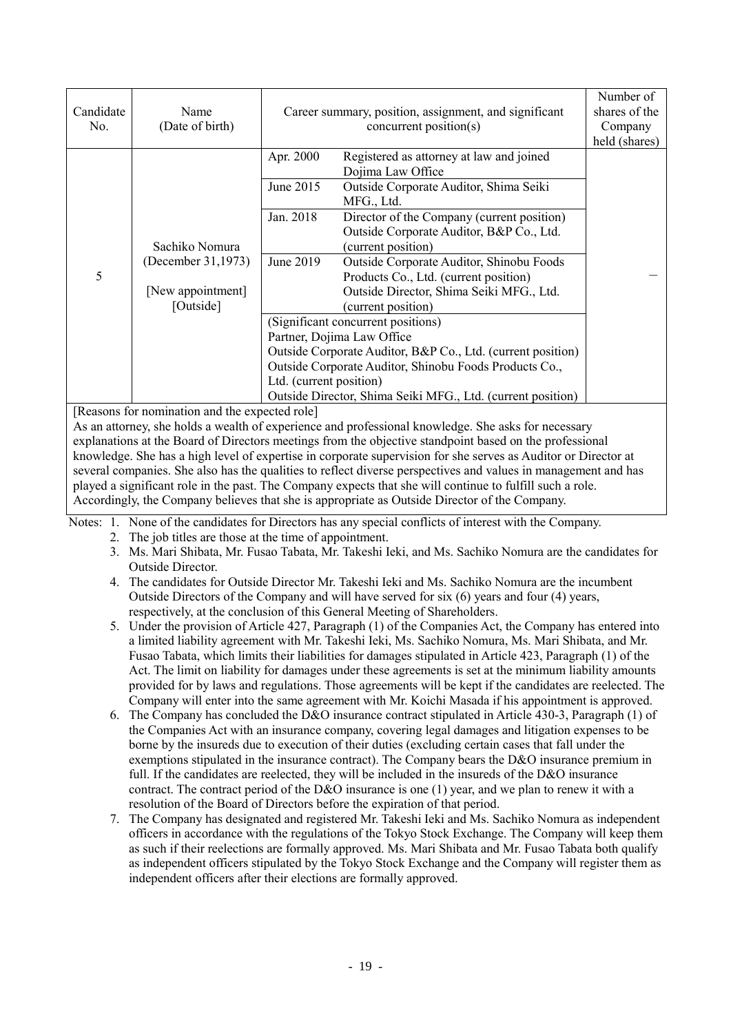| Candidate<br>No.                                                                                               | Name<br>(Date of birth)                                                | Career summary, position, assignment, and significant<br>concurrent position(s)                                                                                                                                                                                                                                                                                                                                                                                                                                                                                                                                                                                          | Number of<br>shares of the<br>Company<br>held (shares) |  |
|----------------------------------------------------------------------------------------------------------------|------------------------------------------------------------------------|--------------------------------------------------------------------------------------------------------------------------------------------------------------------------------------------------------------------------------------------------------------------------------------------------------------------------------------------------------------------------------------------------------------------------------------------------------------------------------------------------------------------------------------------------------------------------------------------------------------------------------------------------------------------------|--------------------------------------------------------|--|
| 5                                                                                                              | Sachiko Nomura<br>(December 31,1973)<br>[New appointment]<br>[Outside] | Apr. 2000<br>Registered as attorney at law and joined<br>Dojima Law Office<br>Outside Corporate Auditor, Shima Seiki<br>June 2015<br>MFG., Ltd.<br>Jan. 2018<br>Director of the Company (current position)<br>Outside Corporate Auditor, B&P Co., Ltd.<br>(current position)<br>June 2019<br>Outside Corporate Auditor, Shinobu Foods<br>Products Co., Ltd. (current position)<br>Outside Director, Shima Seiki MFG., Ltd.<br>(current position)<br>(Significant concurrent positions)<br>Partner, Dojima Law Office<br>Outside Corporate Auditor, B&P Co., Ltd. (current position)<br>Outside Corporate Auditor, Shinobu Foods Products Co.,<br>Ltd. (current position) |                                                        |  |
|                                                                                                                |                                                                        | Outside Director, Shima Seiki MFG., Ltd. (current position)                                                                                                                                                                                                                                                                                                                                                                                                                                                                                                                                                                                                              |                                                        |  |
| [Reasons for nomination and the expected role]                                                                 |                                                                        |                                                                                                                                                                                                                                                                                                                                                                                                                                                                                                                                                                                                                                                                          |                                                        |  |
| As an attorney, she holds a wealth of experience and professional knowledge. She asks for necessary            |                                                                        |                                                                                                                                                                                                                                                                                                                                                                                                                                                                                                                                                                                                                                                                          |                                                        |  |
| explanations at the Board of Directors meetings from the objective standpoint based on the professional        |                                                                        |                                                                                                                                                                                                                                                                                                                                                                                                                                                                                                                                                                                                                                                                          |                                                        |  |
| knowledge. She has a high level of expertise in corporate supervision for she serves as Auditor or Director at |                                                                        |                                                                                                                                                                                                                                                                                                                                                                                                                                                                                                                                                                                                                                                                          |                                                        |  |
| several companies. She also has the qualities to reflect diverse perspectives and values in management and has |                                                                        |                                                                                                                                                                                                                                                                                                                                                                                                                                                                                                                                                                                                                                                                          |                                                        |  |
| played a significant role in the past. The Company expects that she will continue to fulfill such a role.      |                                                                        |                                                                                                                                                                                                                                                                                                                                                                                                                                                                                                                                                                                                                                                                          |                                                        |  |

Accordingly, the Company believes that she is appropriate as Outside Director of the Company.

Notes: 1. None of the candidates for Directors has any special conflicts of interest with the Company.

- 2. The job titles are those at the time of appointment.
- 3. Ms. Mari Shibata, Mr. Fusao Tabata, Mr. Takeshi Ieki, and Ms. Sachiko Nomura are the candidates for Outside Director.
- 4. The candidates for Outside Director Mr. Takeshi Ieki and Ms. Sachiko Nomura are the incumbent Outside Directors of the Company and will have served for six (6) years and four (4) years, respectively, at the conclusion of this General Meeting of Shareholders.
- 5. Under the provision of Article 427, Paragraph (1) of the Companies Act, the Company has entered into a limited liability agreement with Mr. Takeshi Ieki, Ms. Sachiko Nomura, Ms. Mari Shibata, and Mr. Fusao Tabata, which limits their liabilities for damages stipulated in Article 423, Paragraph (1) of the Act. The limit on liability for damages under these agreements is set at the minimum liability amounts provided for by laws and regulations. Those agreements will be kept if the candidates are reelected. The Company will enter into the same agreement with Mr. Koichi Masada if his appointment is approved.
- 6. The Company has concluded the D&O insurance contract stipulated in Article 430-3, Paragraph (1) of the Companies Act with an insurance company, covering legal damages and litigation expenses to be borne by the insureds due to execution of their duties (excluding certain cases that fall under the exemptions stipulated in the insurance contract). The Company bears the D&O insurance premium in full. If the candidates are reelected, they will be included in the insureds of the D&O insurance contract. The contract period of the D&O insurance is one (1) year, and we plan to renew it with a resolution of the Board of Directors before the expiration of that period.
- 7. The Company has designated and registered Mr. Takeshi Ieki and Ms. Sachiko Nomura as independent officers in accordance with the regulations of the Tokyo Stock Exchange. The Company will keep them as such if their reelections are formally approved. Ms. Mari Shibata and Mr. Fusao Tabata both qualify as independent officers stipulated by the Tokyo Stock Exchange and the Company will register them as independent officers after their elections are formally approved.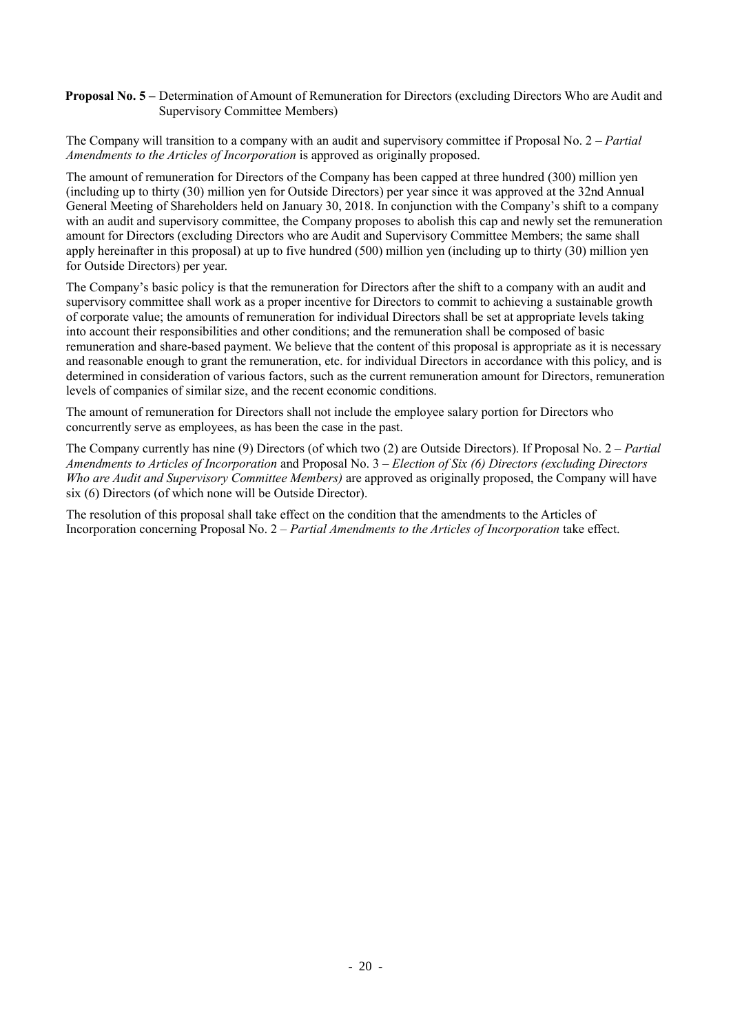### **Proposal No. 5 –** Determination of Amount of Remuneration for Directors (excluding Directors Who are Audit and Supervisory Committee Members)

The Company will transition to a company with an audit and supervisory committee if Proposal No. 2 – *Partial Amendments to the Articles of Incorporation* is approved as originally proposed.

The amount of remuneration for Directors of the Company has been capped at three hundred (300) million yen (including up to thirty (30) million yen for Outside Directors) per year since it was approved at the 32nd Annual General Meeting of Shareholders held on January 30, 2018. In conjunction with the Company's shift to a company with an audit and supervisory committee, the Company proposes to abolish this cap and newly set the remuneration amount for Directors (excluding Directors who are Audit and Supervisory Committee Members; the same shall apply hereinafter in this proposal) at up to five hundred (500) million yen (including up to thirty (30) million yen for Outside Directors) per year.

The Company's basic policy is that the remuneration for Directors after the shift to a company with an audit and supervisory committee shall work as a proper incentive for Directors to commit to achieving a sustainable growth of corporate value; the amounts of remuneration for individual Directors shall be set at appropriate levels taking into account their responsibilities and other conditions; and the remuneration shall be composed of basic remuneration and share-based payment. We believe that the content of this proposal is appropriate as it is necessary and reasonable enough to grant the remuneration, etc. for individual Directors in accordance with this policy, and is determined in consideration of various factors, such as the current remuneration amount for Directors, remuneration levels of companies of similar size, and the recent economic conditions.

The amount of remuneration for Directors shall not include the employee salary portion for Directors who concurrently serve as employees, as has been the case in the past.

The Company currently has nine (9) Directors (of which two (2) are Outside Directors). If Proposal No. 2 – *Partial Amendments to Articles of Incorporation* and Proposal No. 3 – *Election of Six (6) Directors (excluding Directors Who are Audit and Supervisory Committee Members)* are approved as originally proposed, the Company will have six (6) Directors (of which none will be Outside Director).

The resolution of this proposal shall take effect on the condition that the amendments to the Articles of Incorporation concerning Proposal No. 2 – *Partial Amendments to the Articles of Incorporation* take effect.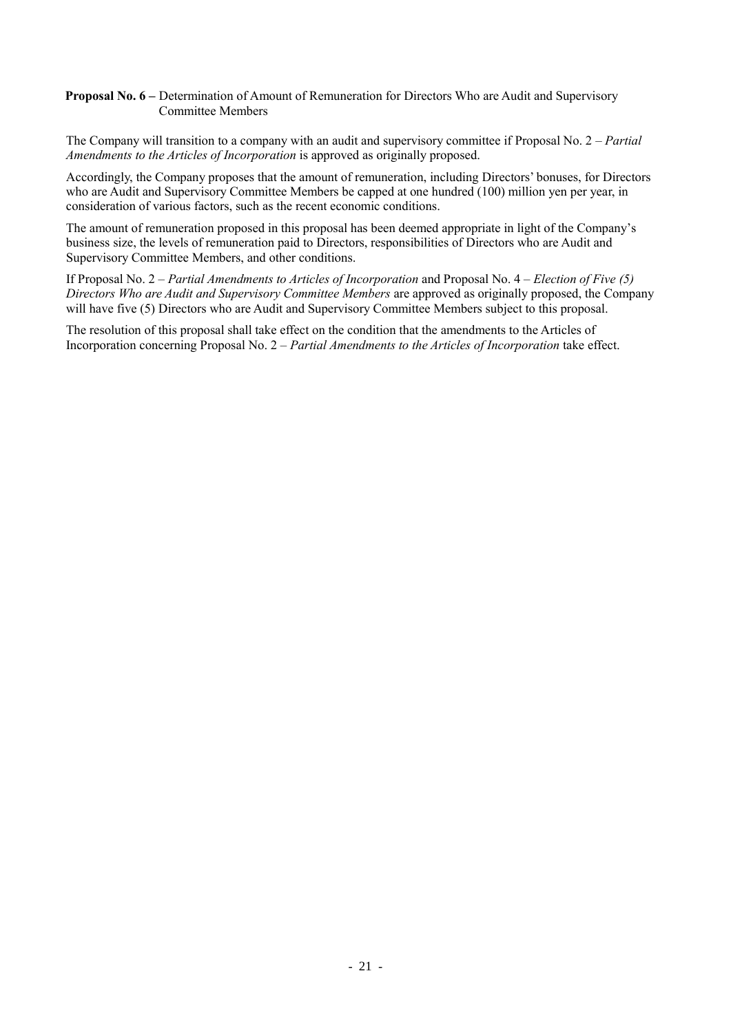#### **Proposal No. 6 –** Determination of Amount of Remuneration for Directors Who are Audit and Supervisory Committee Members

The Company will transition to a company with an audit and supervisory committee if Proposal No. 2 – *Partial Amendments to the Articles of Incorporation* is approved as originally proposed.

Accordingly, the Company proposes that the amount of remuneration, including Directors' bonuses, for Directors who are Audit and Supervisory Committee Members be capped at one hundred (100) million yen per year, in consideration of various factors, such as the recent economic conditions.

The amount of remuneration proposed in this proposal has been deemed appropriate in light of the Company's business size, the levels of remuneration paid to Directors, responsibilities of Directors who are Audit and Supervisory Committee Members, and other conditions.

If Proposal No. 2 – *Partial Amendments to Articles of Incorporation* and Proposal No. 4 – *Election of Five (5) Directors Who are Audit and Supervisory Committee Members* are approved as originally proposed, the Company will have five (5) Directors who are Audit and Supervisory Committee Members subject to this proposal.

The resolution of this proposal shall take effect on the condition that the amendments to the Articles of Incorporation concerning Proposal No. 2 – *Partial Amendments to the Articles of Incorporation* take effect.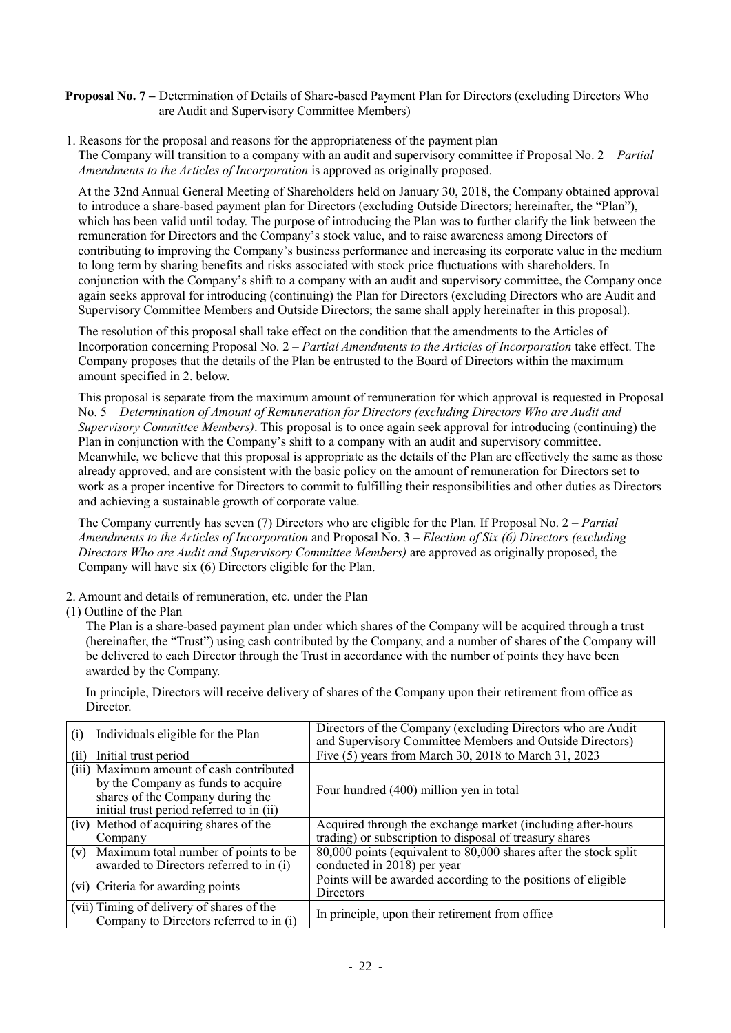**Proposal No. 7 –** Determination of Details of Share-based Payment Plan for Directors (excluding Directors Who are Audit and Supervisory Committee Members)

1. Reasons for the proposal and reasons for the appropriateness of the payment plan The Company will transition to a company with an audit and supervisory committee if Proposal No. 2 – *Partial Amendments to the Articles of Incorporation* is approved as originally proposed.

At the 32nd Annual General Meeting of Shareholders held on January 30, 2018, the Company obtained approval to introduce a share-based payment plan for Directors (excluding Outside Directors; hereinafter, the "Plan"), which has been valid until today. The purpose of introducing the Plan was to further clarify the link between the remuneration for Directors and the Company's stock value, and to raise awareness among Directors of contributing to improving the Company's business performance and increasing its corporate value in the medium to long term by sharing benefits and risks associated with stock price fluctuations with shareholders. In conjunction with the Company's shift to a company with an audit and supervisory committee, the Company once again seeks approval for introducing (continuing) the Plan for Directors (excluding Directors who are Audit and Supervisory Committee Members and Outside Directors; the same shall apply hereinafter in this proposal).

The resolution of this proposal shall take effect on the condition that the amendments to the Articles of Incorporation concerning Proposal No. 2 – *Partial Amendments to the Articles of Incorporation* take effect. The Company proposes that the details of the Plan be entrusted to the Board of Directors within the maximum amount specified in 2. below.

This proposal is separate from the maximum amount of remuneration for which approval is requested in Proposal No. 5 – *Determination of Amount of Remuneration for Directors (excluding Directors Who are Audit and Supervisory Committee Members)*. This proposal is to once again seek approval for introducing (continuing) the Plan in conjunction with the Company's shift to a company with an audit and supervisory committee. Meanwhile, we believe that this proposal is appropriate as the details of the Plan are effectively the same as those already approved, and are consistent with the basic policy on the amount of remuneration for Directors set to work as a proper incentive for Directors to commit to fulfilling their responsibilities and other duties as Directors and achieving a sustainable growth of corporate value.

The Company currently has seven (7) Directors who are eligible for the Plan. If Proposal No. 2 – *Partial Amendments to the Articles of Incorporation* and Proposal No. 3 – *Election of Six (6) Directors (excluding Directors Who are Audit and Supervisory Committee Members)* are approved as originally proposed, the Company will have six (6) Directors eligible for the Plan.

- 2. Amount and details of remuneration, etc. under the Plan
- (1) Outline of the Plan

The Plan is a share-based payment plan under which shares of the Company will be acquired through a trust (hereinafter, the "Trust") using cash contributed by the Company, and a number of shares of the Company will be delivered to each Director through the Trust in accordance with the number of points they have been awarded by the Company.

In principle, Directors will receive delivery of shares of the Company upon their retirement from office as **Director** 

| Individuals eligible for the Plan<br>(i)                                                                                                                       | Directors of the Company (excluding Directors who are Audit<br>and Supervisory Committee Members and Outside Directors) |
|----------------------------------------------------------------------------------------------------------------------------------------------------------------|-------------------------------------------------------------------------------------------------------------------------|
| Initial trust period<br>(i)                                                                                                                                    | Five (5) years from March 30, 2018 to March 31, 2023                                                                    |
| (iii) Maximum amount of cash contributed<br>by the Company as funds to acquire<br>shares of the Company during the<br>initial trust period referred to in (ii) | Four hundred (400) million yen in total                                                                                 |
| (iv) Method of acquiring shares of the<br>Company                                                                                                              | Acquired through the exchange market (including after-hours<br>trading) or subscription to disposal of treasury shares  |
| Maximum total number of points to be<br>(v)<br>awarded to Directors referred to in (i)                                                                         | 80,000 points (equivalent to 80,000 shares after the stock split<br>conducted in 2018) per year                         |
| (vi) Criteria for awarding points                                                                                                                              | Points will be awarded according to the positions of eligible<br>Directors                                              |
| (vii) Timing of delivery of shares of the<br>Company to Directors referred to in (i)                                                                           | In principle, upon their retirement from office                                                                         |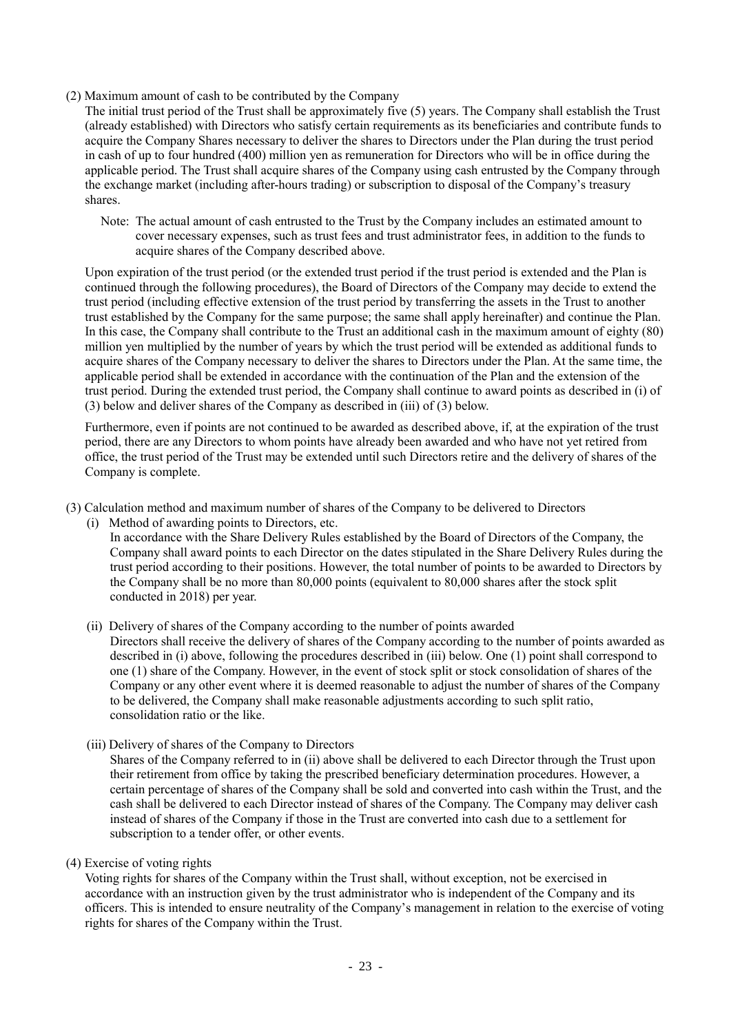(2) Maximum amount of cash to be contributed by the Company

The initial trust period of the Trust shall be approximately five (5) years. The Company shall establish the Trust (already established) with Directors who satisfy certain requirements as its beneficiaries and contribute funds to acquire the Company Shares necessary to deliver the shares to Directors under the Plan during the trust period in cash of up to four hundred (400) million yen as remuneration for Directors who will be in office during the applicable period. The Trust shall acquire shares of the Company using cash entrusted by the Company through the exchange market (including after-hours trading) or subscription to disposal of the Company's treasury shares.

Note: The actual amount of cash entrusted to the Trust by the Company includes an estimated amount to cover necessary expenses, such as trust fees and trust administrator fees, in addition to the funds to acquire shares of the Company described above.

Upon expiration of the trust period (or the extended trust period if the trust period is extended and the Plan is continued through the following procedures), the Board of Directors of the Company may decide to extend the trust period (including effective extension of the trust period by transferring the assets in the Trust to another trust established by the Company for the same purpose; the same shall apply hereinafter) and continue the Plan. In this case, the Company shall contribute to the Trust an additional cash in the maximum amount of eighty (80) million yen multiplied by the number of years by which the trust period will be extended as additional funds to acquire shares of the Company necessary to deliver the shares to Directors under the Plan. At the same time, the applicable period shall be extended in accordance with the continuation of the Plan and the extension of the trust period. During the extended trust period, the Company shall continue to award points as described in (i) of (3) below and deliver shares of the Company as described in (iii) of (3) below.

Furthermore, even if points are not continued to be awarded as described above, if, at the expiration of the trust period, there are any Directors to whom points have already been awarded and who have not yet retired from office, the trust period of the Trust may be extended until such Directors retire and the delivery of shares of the Company is complete.

(3) Calculation method and maximum number of shares of the Company to be delivered to Directors

(i) Method of awarding points to Directors, etc.

In accordance with the Share Delivery Rules established by the Board of Directors of the Company, the Company shall award points to each Director on the dates stipulated in the Share Delivery Rules during the trust period according to their positions. However, the total number of points to be awarded to Directors by the Company shall be no more than 80,000 points (equivalent to 80,000 shares after the stock split conducted in 2018) per year.

(ii) Delivery of shares of the Company according to the number of points awarded Directors shall receive the delivery of shares of the Company according to the number of points awarded as

described in (i) above, following the procedures described in (iii) below. One (1) point shall correspond to one (1) share of the Company. However, in the event of stock split or stock consolidation of shares of the Company or any other event where it is deemed reasonable to adjust the number of shares of the Company to be delivered, the Company shall make reasonable adjustments according to such split ratio, consolidation ratio or the like.

(iii) Delivery of shares of the Company to Directors

Shares of the Company referred to in (ii) above shall be delivered to each Director through the Trust upon their retirement from office by taking the prescribed beneficiary determination procedures. However, a certain percentage of shares of the Company shall be sold and converted into cash within the Trust, and the cash shall be delivered to each Director instead of shares of the Company. The Company may deliver cash instead of shares of the Company if those in the Trust are converted into cash due to a settlement for subscription to a tender offer, or other events.

(4) Exercise of voting rights

Voting rights for shares of the Company within the Trust shall, without exception, not be exercised in accordance with an instruction given by the trust administrator who is independent of the Company and its officers. This is intended to ensure neutrality of the Company's management in relation to the exercise of voting rights for shares of the Company within the Trust.